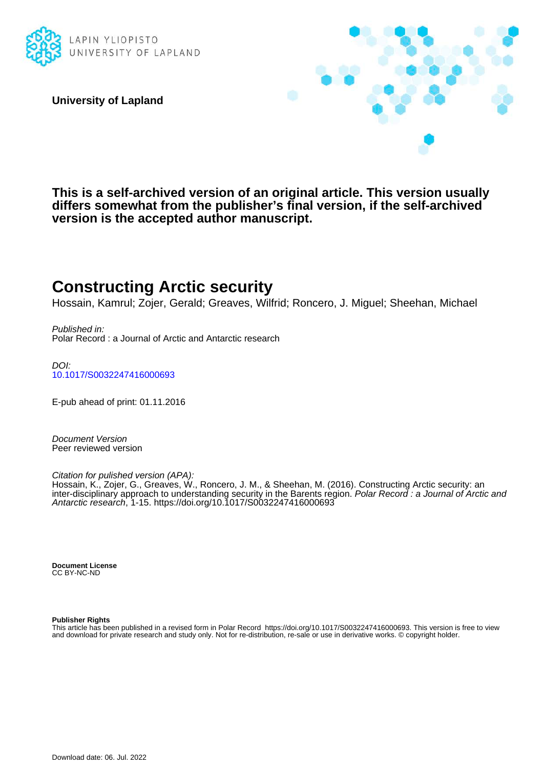

**University of Lapland**



**This is a self-archived version of an original article. This version usually differs somewhat from the publisher's final version, if the self-archived version is the accepted author manuscript.**

# **Constructing Arctic security**

Hossain, Kamrul; Zojer, Gerald; Greaves, Wilfrid; Roncero, J. Miguel; Sheehan, Michael

Published in: Polar Record : a Journal of Arctic and Antarctic research

DOI: [10.1017/S0032247416000693](https://doi.org/10.1017/S0032247416000693)

E-pub ahead of print: 01.11.2016

Document Version Peer reviewed version

Citation for pulished version (APA):

Hossain, K., Zojer, G., Greaves, W., Roncero, J. M., & Sheehan, M. (2016). Constructing Arctic security: an inter-disciplinary approach to understanding security in the Barents region. Polar Record : a Journal of Arctic and Antarctic research, 1-15. <https://doi.org/10.1017/S0032247416000693>

**Document License** CC BY-NC-ND

**Publisher Rights**

This article has been published in a revised form in Polar Record https://doi.org/10.1017/S0032247416000693. This version is free to view and download for private research and study only. Not for re-distribution, re-sale or use in derivative works. © copyright holder.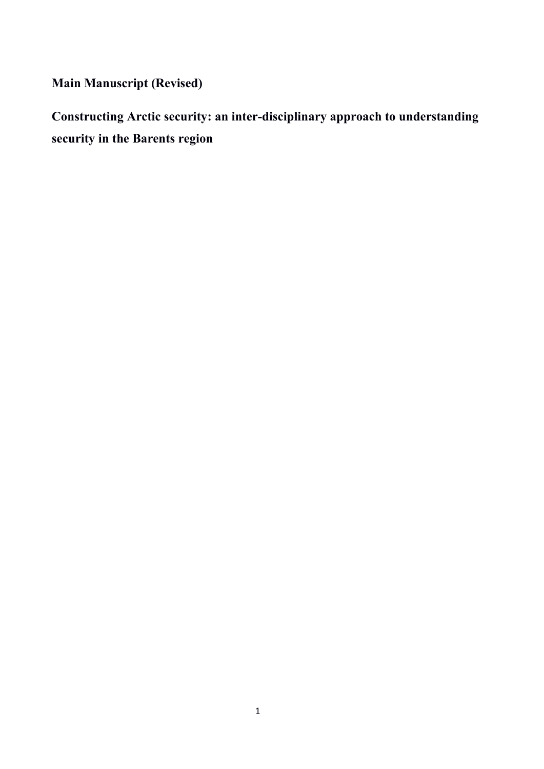**Main Manuscript (Revised)**

**Constructing Arctic security: an inter-disciplinary approach to understanding security in the Barents region**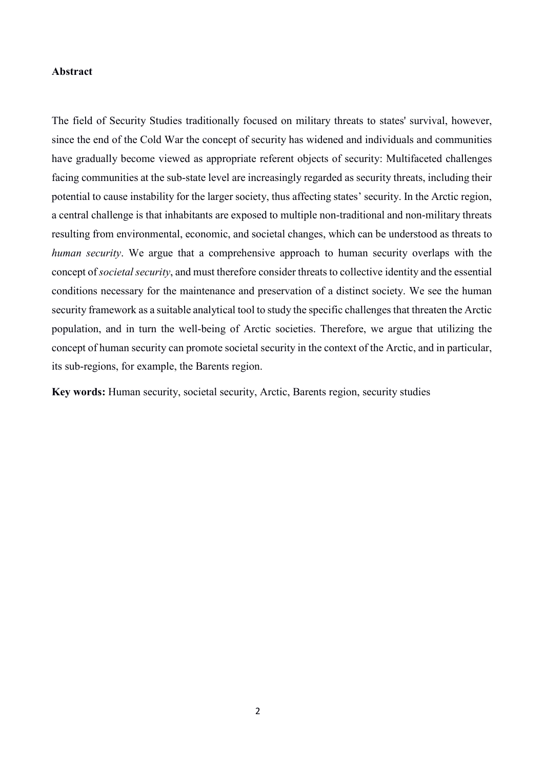### **Abstract**

The field of Security Studies traditionally focused on military threats to states' survival, however, since the end of the Cold War the concept of security has widened and individuals and communities have gradually become viewed as appropriate referent objects of security: Multifaceted challenges facing communities at the sub-state level are increasingly regarded as security threats, including their potential to cause instability for the larger society, thus affecting states' security. In the Arctic region, a central challenge is that inhabitants are exposed to multiple non-traditional and non-military threats resulting from environmental, economic, and societal changes, which can be understood as threats to *human security*. We argue that a comprehensive approach to human security overlaps with the concept of *societal security*, and must therefore consider threats to collective identity and the essential conditions necessary for the maintenance and preservation of a distinct society. We see the human security framework as a suitable analytical tool to study the specific challenges that threaten the Arctic population, and in turn the well-being of Arctic societies. Therefore, we argue that utilizing the concept of human security can promote societal security in the context of the Arctic, and in particular, its sub-regions, for example, the Barents region.

**Key words:** Human security, societal security, Arctic, Barents region, security studies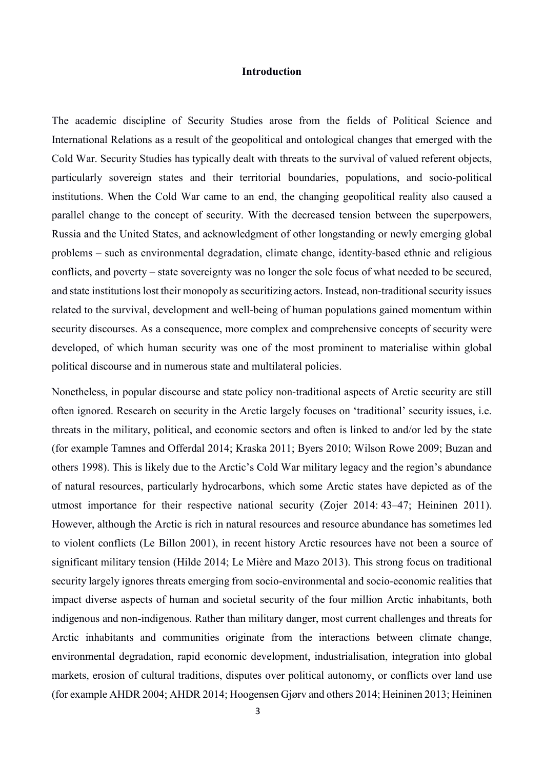# **Introduction**

The academic discipline of Security Studies arose from the fields of Political Science and International Relations as a result of the geopolitical and ontological changes that emerged with the Cold War. Security Studies has typically dealt with threats to the survival of valued referent objects, particularly sovereign states and their territorial boundaries, populations, and socio-political institutions. When the Cold War came to an end, the changing geopolitical reality also caused a parallel change to the concept of security. With the decreased tension between the superpowers, Russia and the United States, and acknowledgment of other longstanding or newly emerging global problems – such as environmental degradation, climate change, identity-based ethnic and religious conflicts, and poverty – state sovereignty was no longer the sole focus of what needed to be secured, and state institutions lost their monopoly as securitizing actors. Instead, non-traditional security issues related to the survival, development and well-being of human populations gained momentum within security discourses. As a consequence, more complex and comprehensive concepts of security were developed, of which human security was one of the most prominent to materialise within global political discourse and in numerous state and multilateral policies.

Nonetheless, in popular discourse and state policy non-traditional aspects of Arctic security are still often ignored. Research on security in the Arctic largely focuses on 'traditional' security issues, i.e. threats in the military, political, and economic sectors and often is linked to and/or led by the state (for example Tamnes and Offerdal 2014; Kraska 2011; Byers 2010; Wilson Rowe 2009; Buzan and others 1998). This is likely due to the Arctic's Cold War military legacy and the region's abundance of natural resources, particularly hydrocarbons, which some Arctic states have depicted as of the utmost importance for their respective national security (Zojer 2014: 43–47; Heininen 2011). However, although the Arctic is rich in natural resources and resource abundance has sometimes led to violent conflicts (Le Billon 2001), in recent history Arctic resources have not been a source of significant military tension (Hilde 2014; Le Mière and Mazo 2013). This strong focus on traditional security largely ignores threats emerging from socio-environmental and socio-economic realities that impact diverse aspects of human and societal security of the four million Arctic inhabitants, both indigenous and non-indigenous. Rather than military danger, most current challenges and threats for Arctic inhabitants and communities originate from the interactions between climate change, environmental degradation, rapid economic development, industrialisation, integration into global markets, erosion of cultural traditions, disputes over political autonomy, or conflicts over land use (for example AHDR 2004; AHDR 2014; Hoogensen Gjørv and others 2014; Heininen 2013; Heininen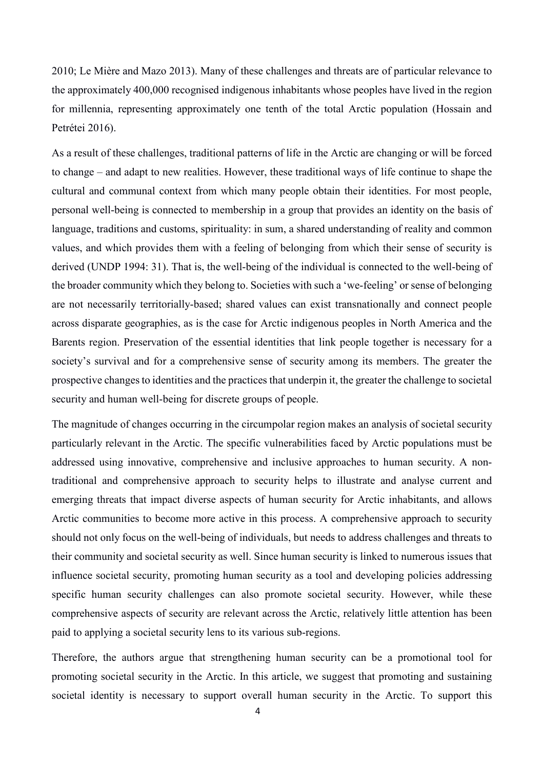2010; Le Mière and Mazo 2013). Many of these challenges and threats are of particular relevance to the approximately 400,000 recognised indigenous inhabitants whose peoples have lived in the region for millennia, representing approximately one tenth of the total Arctic population (Hossain and Petrétei 2016).

As a result of these challenges, traditional patterns of life in the Arctic are changing or will be forced to change – and adapt to new realities. However, these traditional ways of life continue to shape the cultural and communal context from which many people obtain their identities. For most people, personal well-being is connected to membership in a group that provides an identity on the basis of language, traditions and customs, spirituality: in sum, a shared understanding of reality and common values, and which provides them with a feeling of belonging from which their sense of security is derived (UNDP 1994: 31). That is, the well-being of the individual is connected to the well-being of the broader community which they belong to. Societies with such a 'we-feeling' or sense of belonging are not necessarily territorially-based; shared values can exist transnationally and connect people across disparate geographies, as is the case for Arctic indigenous peoples in North America and the Barents region. Preservation of the essential identities that link people together is necessary for a society's survival and for a comprehensive sense of security among its members. The greater the prospective changes to identities and the practices that underpin it, the greater the challenge to societal security and human well-being for discrete groups of people.

The magnitude of changes occurring in the circumpolar region makes an analysis of societal security particularly relevant in the Arctic. The specific vulnerabilities faced by Arctic populations must be addressed using innovative, comprehensive and inclusive approaches to human security. A nontraditional and comprehensive approach to security helps to illustrate and analyse current and emerging threats that impact diverse aspects of human security for Arctic inhabitants, and allows Arctic communities to become more active in this process. A comprehensive approach to security should not only focus on the well-being of individuals, but needs to address challenges and threats to their community and societal security as well. Since human security is linked to numerous issues that influence societal security, promoting human security as a tool and developing policies addressing specific human security challenges can also promote societal security. However, while these comprehensive aspects of security are relevant across the Arctic, relatively little attention has been paid to applying a societal security lens to its various sub-regions.

Therefore, the authors argue that strengthening human security can be a promotional tool for promoting societal security in the Arctic. In this article, we suggest that promoting and sustaining societal identity is necessary to support overall human security in the Arctic. To support this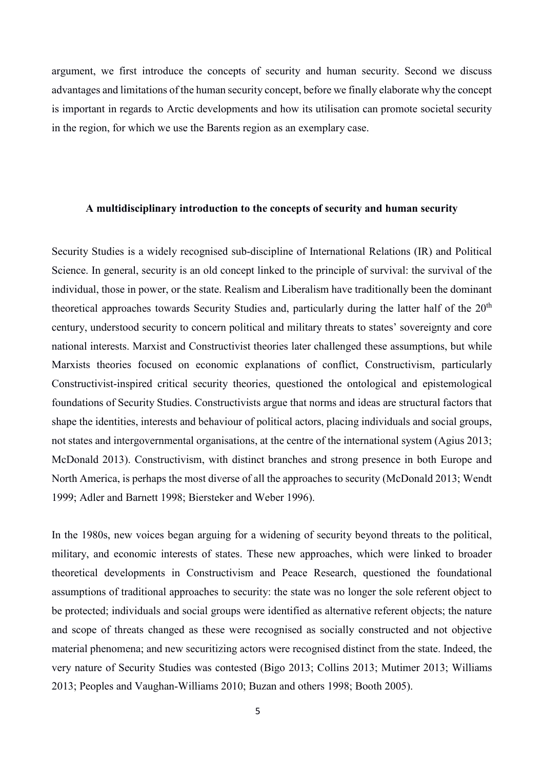argument, we first introduce the concepts of security and human security. Second we discuss advantages and limitations of the human security concept, before we finally elaborate why the concept is important in regards to Arctic developments and how its utilisation can promote societal security in the region, for which we use the Barents region as an exemplary case.

# **A multidisciplinary introduction to the concepts of security and human security**

Security Studies is a widely recognised sub-discipline of International Relations (IR) and Political Science. In general, security is an old concept linked to the principle of survival: the survival of the individual, those in power, or the state. Realism and Liberalism have traditionally been the dominant theoretical approaches towards Security Studies and, particularly during the latter half of the 20<sup>th</sup> century, understood security to concern political and military threats to states' sovereignty and core national interests. Marxist and Constructivist theories later challenged these assumptions, but while Marxists theories focused on economic explanations of conflict, Constructivism, particularly Constructivist-inspired critical security theories, questioned the ontological and epistemological foundations of Security Studies. Constructivists argue that norms and ideas are structural factors that shape the identities, interests and behaviour of political actors, placing individuals and social groups, not states and intergovernmental organisations, at the centre of the international system (Agius 2013; McDonald 2013). Constructivism, with distinct branches and strong presence in both Europe and North America, is perhaps the most diverse of all the approaches to security (McDonald 2013; Wendt 1999; Adler and Barnett 1998; Biersteker and Weber 1996).

In the 1980s, new voices began arguing for a widening of security beyond threats to the political, military, and economic interests of states. These new approaches, which were linked to broader theoretical developments in Constructivism and Peace Research, questioned the foundational assumptions of traditional approaches to security: the state was no longer the sole referent object to be protected; individuals and social groups were identified as alternative referent objects; the nature and scope of threats changed as these were recognised as socially constructed and not objective material phenomena; and new securitizing actors were recognised distinct from the state. Indeed, the very nature of Security Studies was contested (Bigo 2013; Collins 2013; Mutimer 2013; Williams 2013; Peoples and Vaughan-Williams 2010; Buzan and others 1998; Booth 2005).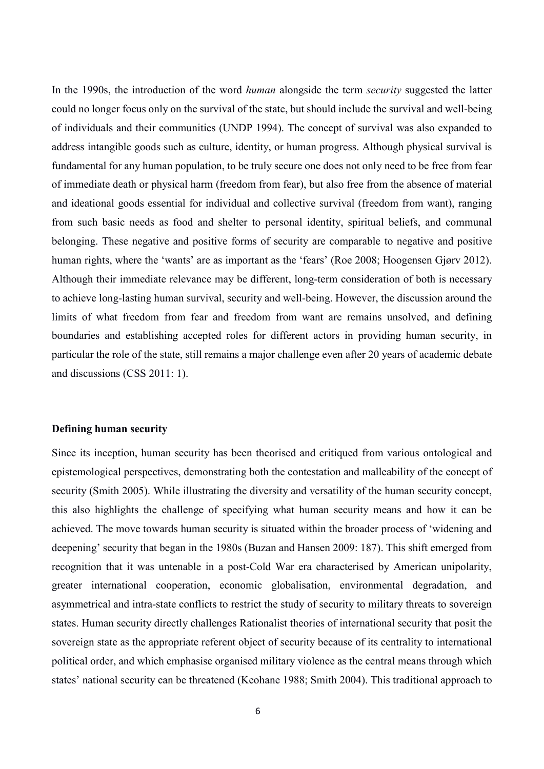In the 1990s, the introduction of the word *human* alongside the term *security* suggested the latter could no longer focus only on the survival of the state, but should include the survival and well-being of individuals and their communities (UNDP 1994). The concept of survival was also expanded to address intangible goods such as culture, identity, or human progress. Although physical survival is fundamental for any human population, to be truly secure one does not only need to be free from fear of immediate death or physical harm (freedom from fear), but also free from the absence of material and ideational goods essential for individual and collective survival (freedom from want), ranging from such basic needs as food and shelter to personal identity, spiritual beliefs, and communal belonging. These negative and positive forms of security are comparable to negative and positive human rights, where the 'wants' are as important as the 'fears' (Roe 2008; Hoogensen Gjørv 2012). Although their immediate relevance may be different, long-term consideration of both is necessary to achieve long-lasting human survival, security and well-being. However, the discussion around the limits of what freedom from fear and freedom from want are remains unsolved, and defining boundaries and establishing accepted roles for different actors in providing human security, in particular the role of the state, still remains a major challenge even after 20 years of academic debate and discussions (CSS 2011: 1).

#### **Defining human security**

Since its inception, human security has been theorised and critiqued from various ontological and epistemological perspectives, demonstrating both the contestation and malleability of the concept of security (Smith 2005). While illustrating the diversity and versatility of the human security concept, this also highlights the challenge of specifying what human security means and how it can be achieved. The move towards human security is situated within the broader process of 'widening and deepening' security that began in the 1980s (Buzan and Hansen 2009: 187). This shift emerged from recognition that it was untenable in a post-Cold War era characterised by American unipolarity, greater international cooperation, economic globalisation, environmental degradation, and asymmetrical and intra-state conflicts to restrict the study of security to military threats to sovereign states. Human security directly challenges Rationalist theories of international security that posit the sovereign state as the appropriate referent object of security because of its centrality to international political order, and which emphasise organised military violence as the central means through which states' national security can be threatened (Keohane 1988; Smith 2004). This traditional approach to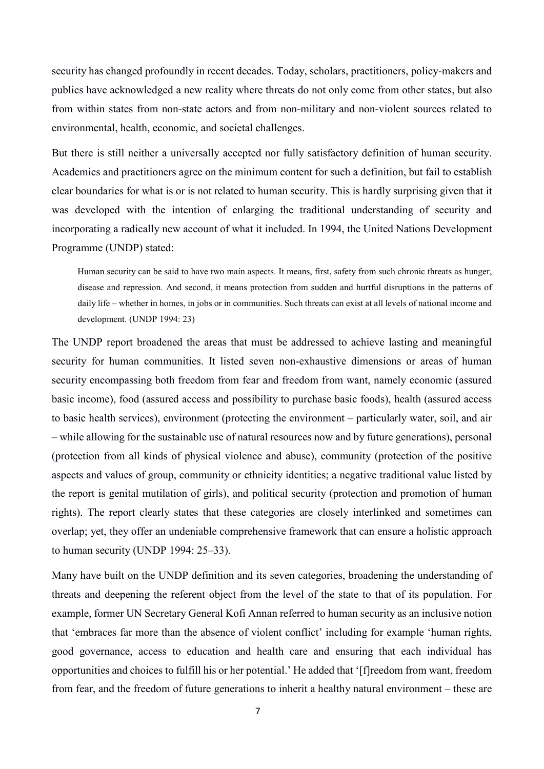security has changed profoundly in recent decades. Today, scholars, practitioners, policy-makers and publics have acknowledged a new reality where threats do not only come from other states, but also from within states from non-state actors and from non-military and non-violent sources related to environmental, health, economic, and societal challenges.

But there is still neither a universally accepted nor fully satisfactory definition of human security. Academics and practitioners agree on the minimum content for such a definition, but fail to establish clear boundaries for what is or is not related to human security. This is hardly surprising given that it was developed with the intention of enlarging the traditional understanding of security and incorporating a radically new account of what it included. In 1994, the United Nations Development Programme (UNDP) stated:

Human security can be said to have two main aspects. It means, first, safety from such chronic threats as hunger, disease and repression. And second, it means protection from sudden and hurtful disruptions in the patterns of daily life – whether in homes, in jobs or in communities. Such threats can exist at all levels of national income and development. (UNDP 1994: 23)

The UNDP report broadened the areas that must be addressed to achieve lasting and meaningful security for human communities. It listed seven non-exhaustive dimensions or areas of human security encompassing both freedom from fear and freedom from want, namely economic (assured basic income), food (assured access and possibility to purchase basic foods), health (assured access to basic health services), environment (protecting the environment – particularly water, soil, and air – while allowing for the sustainable use of natural resources now and by future generations), personal (protection from all kinds of physical violence and abuse), community (protection of the positive aspects and values of group, community or ethnicity identities; a negative traditional value listed by the report is genital mutilation of girls), and political security (protection and promotion of human rights). The report clearly states that these categories are closely interlinked and sometimes can overlap; yet, they offer an undeniable comprehensive framework that can ensure a holistic approach to human security (UNDP 1994: 25–33).

Many have built on the UNDP definition and its seven categories, broadening the understanding of threats and deepening the referent object from the level of the state to that of its population. For example, former UN Secretary General Kofi Annan referred to human security as an inclusive notion that 'embraces far more than the absence of violent conflict' including for example 'human rights, good governance, access to education and health care and ensuring that each individual has opportunities and choices to fulfill his or her potential.' He added that '[f]reedom from want, freedom from fear, and the freedom of future generations to inherit a healthy natural environment – these are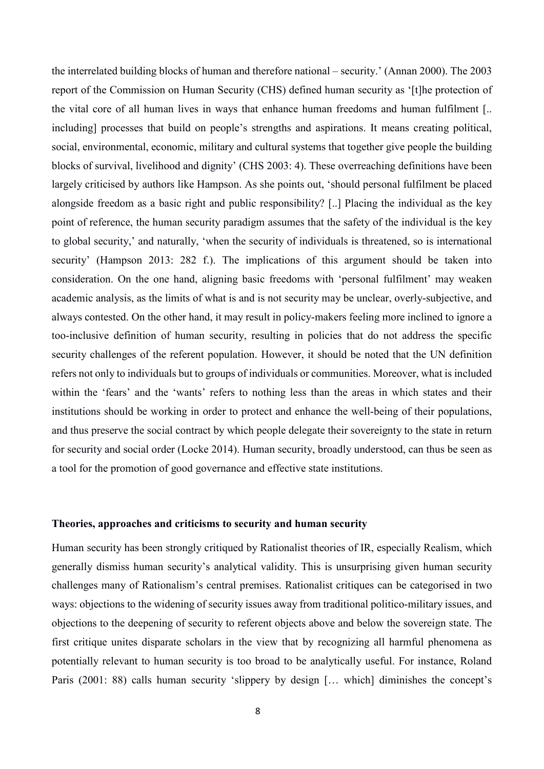the interrelated building blocks of human and therefore national – security.' (Annan 2000). The 2003 report of the Commission on Human Security (CHS) defined human security as '[t]he protection of the vital core of all human lives in ways that enhance human freedoms and human fulfilment [.. including] processes that build on people's strengths and aspirations. It means creating political, social, environmental, economic, military and cultural systems that together give people the building blocks of survival, livelihood and dignity' (CHS 2003: 4). These overreaching definitions have been largely criticised by authors like Hampson. As she points out, 'should personal fulfilment be placed alongside freedom as a basic right and public responsibility? [..] Placing the individual as the key point of reference, the human security paradigm assumes that the safety of the individual is the key to global security,' and naturally, 'when the security of individuals is threatened, so is international security' (Hampson 2013: 282 f.). The implications of this argument should be taken into consideration. On the one hand, aligning basic freedoms with 'personal fulfilment' may weaken academic analysis, as the limits of what is and is not security may be unclear, overly-subjective, and always contested. On the other hand, it may result in policy-makers feeling more inclined to ignore a too-inclusive definition of human security, resulting in policies that do not address the specific security challenges of the referent population. However, it should be noted that the UN definition refers not only to individuals but to groups of individuals or communities. Moreover, what is included within the 'fears' and the 'wants' refers to nothing less than the areas in which states and their institutions should be working in order to protect and enhance the well-being of their populations, and thus preserve the social contract by which people delegate their sovereignty to the state in return for security and social order (Locke 2014). Human security, broadly understood, can thus be seen as a tool for the promotion of good governance and effective state institutions.

#### **Theories, approaches and criticisms to security and human security**

Human security has been strongly critiqued by Rationalist theories of IR, especially Realism, which generally dismiss human security's analytical validity. This is unsurprising given human security challenges many of Rationalism's central premises. Rationalist critiques can be categorised in two ways: objections to the widening of security issues away from traditional politico-military issues, and objections to the deepening of security to referent objects above and below the sovereign state. The first critique unites disparate scholars in the view that by recognizing all harmful phenomena as potentially relevant to human security is too broad to be analytically useful. For instance, Roland Paris (2001: 88) calls human security 'slippery by design [… which] diminishes the concept's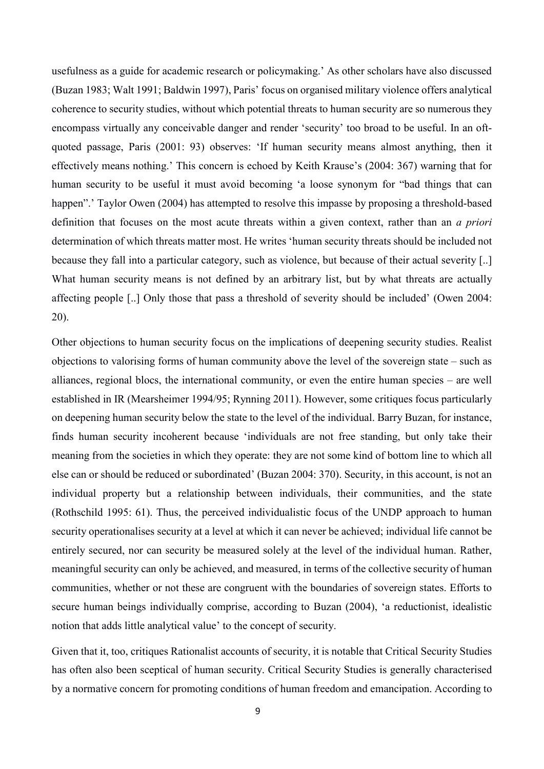usefulness as a guide for academic research or policymaking.' As other scholars have also discussed (Buzan 1983; Walt 1991; Baldwin 1997), Paris' focus on organised military violence offers analytical coherence to security studies, without which potential threats to human security are so numerous they encompass virtually any conceivable danger and render 'security' too broad to be useful. In an oftquoted passage, Paris (2001: 93) observes: 'If human security means almost anything, then it effectively means nothing.' This concern is echoed by Keith Krause's (2004: 367) warning that for human security to be useful it must avoid becoming 'a loose synonym for "bad things that can happen".' Taylor Owen (2004) has attempted to resolve this impasse by proposing a threshold-based definition that focuses on the most acute threats within a given context, rather than an *a priori* determination of which threats matter most. He writes 'human security threats should be included not because they fall into a particular category, such as violence, but because of their actual severity [..] What human security means is not defined by an arbitrary list, but by what threats are actually affecting people [..] Only those that pass a threshold of severity should be included' (Owen 2004: 20).

Other objections to human security focus on the implications of deepening security studies. Realist objections to valorising forms of human community above the level of the sovereign state – such as alliances, regional blocs, the international community, or even the entire human species – are well established in IR (Mearsheimer 1994/95; Rynning 2011). However, some critiques focus particularly on deepening human security below the state to the level of the individual. Barry Buzan, for instance, finds human security incoherent because 'individuals are not free standing, but only take their meaning from the societies in which they operate: they are not some kind of bottom line to which all else can or should be reduced or subordinated' (Buzan 2004: 370). Security, in this account, is not an individual property but a relationship between individuals, their communities, and the state (Rothschild 1995: 61). Thus, the perceived individualistic focus of the UNDP approach to human security operationalises security at a level at which it can never be achieved; individual life cannot be entirely secured, nor can security be measured solely at the level of the individual human. Rather, meaningful security can only be achieved, and measured, in terms of the collective security of human communities, whether or not these are congruent with the boundaries of sovereign states. Efforts to secure human beings individually comprise, according to Buzan (2004), 'a reductionist, idealistic notion that adds little analytical value' to the concept of security.

Given that it, too, critiques Rationalist accounts of security, it is notable that Critical Security Studies has often also been sceptical of human security. Critical Security Studies is generally characterised by a normative concern for promoting conditions of human freedom and emancipation. According to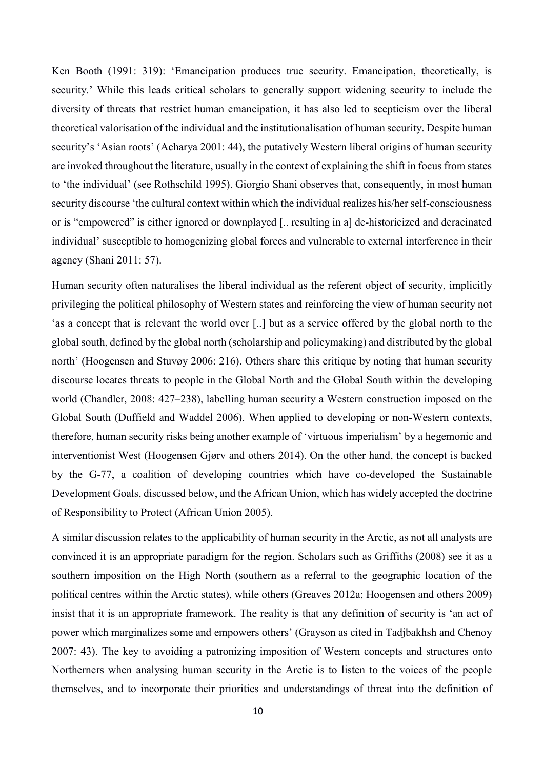Ken Booth (1991: 319): 'Emancipation produces true security. Emancipation, theoretically, is security.' While this leads critical scholars to generally support widening security to include the diversity of threats that restrict human emancipation, it has also led to scepticism over the liberal theoretical valorisation of the individual and the institutionalisation of human security. Despite human security's 'Asian roots' (Acharya 2001: 44), the putatively Western liberal origins of human security are invoked throughout the literature, usually in the context of explaining the shift in focus from states to 'the individual' (see Rothschild 1995). Giorgio Shani observes that, consequently, in most human security discourse 'the cultural context within which the individual realizes his/her self-consciousness or is "empowered" is either ignored or downplayed [.. resulting in a] de-historicized and deracinated individual' susceptible to homogenizing global forces and vulnerable to external interference in their agency (Shani 2011: 57).

Human security often naturalises the liberal individual as the referent object of security, implicitly privileging the political philosophy of Western states and reinforcing the view of human security not 'as a concept that is relevant the world over [..] but as a service offered by the global north to the global south, defined by the global north (scholarship and policymaking) and distributed by the global north' (Hoogensen and Stuvøy 2006: 216). Others share this critique by noting that human security discourse locates threats to people in the Global North and the Global South within the developing world (Chandler, 2008: 427–238), labelling human security a Western construction imposed on the Global South (Duffield and Waddel 2006). When applied to developing or non-Western contexts, therefore, human security risks being another example of 'virtuous imperialism' by a hegemonic and interventionist West (Hoogensen Gjørv and others 2014). On the other hand, the concept is backed by the G-77, a coalition of developing countries which have co-developed the Sustainable Development Goals, discussed below, and the African Union, which has widely accepted the doctrine of Responsibility to Protect (African Union 2005).

A similar discussion relates to the applicability of human security in the Arctic, as not all analysts are convinced it is an appropriate paradigm for the region. Scholars such as Griffiths (2008) see it as a southern imposition on the High North (southern as a referral to the geographic location of the political centres within the Arctic states), while others (Greaves 2012a; Hoogensen and others 2009) insist that it is an appropriate framework. The reality is that any definition of security is 'an act of power which marginalizes some and empowers others' (Grayson as cited in Tadjbakhsh and Chenoy 2007: 43). The key to avoiding a patronizing imposition of Western concepts and structures onto Northerners when analysing human security in the Arctic is to listen to the voices of the people themselves, and to incorporate their priorities and understandings of threat into the definition of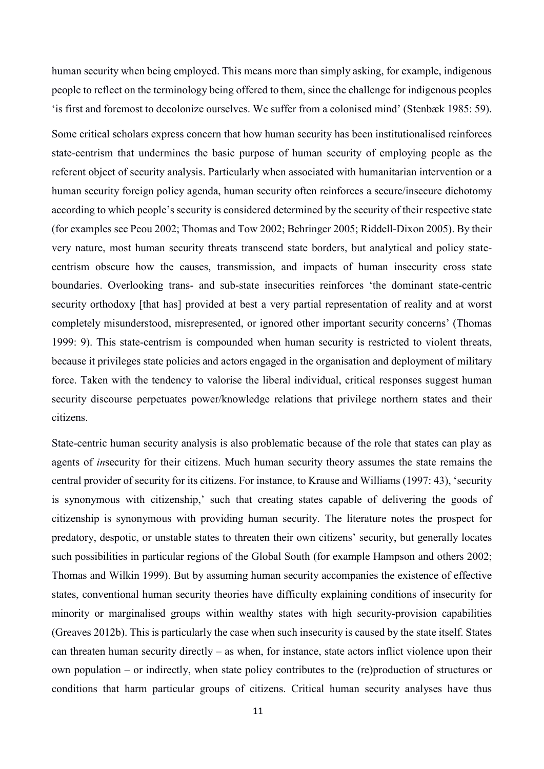human security when being employed. This means more than simply asking, for example, indigenous people to reflect on the terminology being offered to them, since the challenge for indigenous peoples 'is first and foremost to decolonize ourselves. We suffer from a colonised mind' (Stenbæk 1985: 59).

Some critical scholars express concern that how human security has been institutionalised reinforces state-centrism that undermines the basic purpose of human security of employing people as the referent object of security analysis. Particularly when associated with humanitarian intervention or a human security foreign policy agenda, human security often reinforces a secure/insecure dichotomy according to which people's security is considered determined by the security of their respective state (for examples see Peou 2002; Thomas and Tow 2002; Behringer 2005; Riddell-Dixon 2005). By their very nature, most human security threats transcend state borders, but analytical and policy statecentrism obscure how the causes, transmission, and impacts of human insecurity cross state boundaries. Overlooking trans- and sub-state insecurities reinforces 'the dominant state-centric security orthodoxy [that has] provided at best a very partial representation of reality and at worst completely misunderstood, misrepresented, or ignored other important security concerns' (Thomas 1999: 9). This state-centrism is compounded when human security is restricted to violent threats, because it privileges state policies and actors engaged in the organisation and deployment of military force. Taken with the tendency to valorise the liberal individual, critical responses suggest human security discourse perpetuates power/knowledge relations that privilege northern states and their citizens.

State-centric human security analysis is also problematic because of the role that states can play as agents of *in*security for their citizens. Much human security theory assumes the state remains the central provider of security for its citizens. For instance, to Krause and Williams (1997: 43), 'security is synonymous with citizenship,' such that creating states capable of delivering the goods of citizenship is synonymous with providing human security. The literature notes the prospect for predatory, despotic, or unstable states to threaten their own citizens' security, but generally locates such possibilities in particular regions of the Global South (for example Hampson and others 2002; Thomas and Wilkin 1999). But by assuming human security accompanies the existence of effective states, conventional human security theories have difficulty explaining conditions of insecurity for minority or marginalised groups within wealthy states with high security-provision capabilities (Greaves 2012b). This is particularly the case when such insecurity is caused by the state itself. States can threaten human security directly – as when, for instance, state actors inflict violence upon their own population – or indirectly, when state policy contributes to the (re)production of structures or conditions that harm particular groups of citizens. Critical human security analyses have thus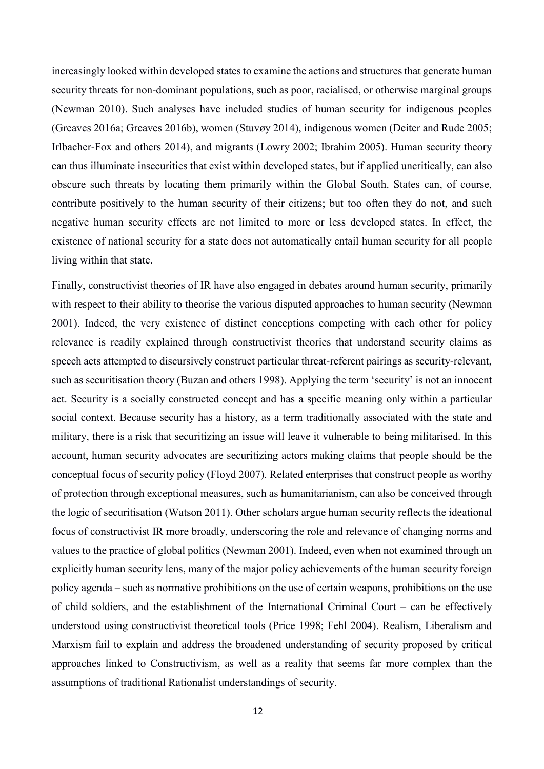increasingly looked within developed states to examine the actions and structures that generate human security threats for non-dominant populations, such as poor, racialised, or otherwise marginal groups (Newman 2010). Such analyses have included studies of human security for indigenous peoples (Greaves 2016a; Greaves 2016b), women (Stuvøy 2014), indigenous women (Deiter and Rude 2005; Irlbacher-Fox and others 2014), and migrants (Lowry 2002; Ibrahim 2005). Human security theory can thus illuminate insecurities that exist within developed states, but if applied uncritically, can also obscure such threats by locating them primarily within the Global South. States can, of course, contribute positively to the human security of their citizens; but too often they do not, and such negative human security effects are not limited to more or less developed states. In effect, the existence of national security for a state does not automatically entail human security for all people living within that state.

Finally, constructivist theories of IR have also engaged in debates around human security, primarily with respect to their ability to theorise the various disputed approaches to human security (Newman 2001). Indeed, the very existence of distinct conceptions competing with each other for policy relevance is readily explained through constructivist theories that understand security claims as speech acts attempted to discursively construct particular threat-referent pairings as security-relevant, such as securitisation theory (Buzan and others 1998). Applying the term 'security' is not an innocent act. Security is a socially constructed concept and has a specific meaning only within a particular social context. Because security has a history, as a term traditionally associated with the state and military, there is a risk that securitizing an issue will leave it vulnerable to being militarised. In this account, human security advocates are securitizing actors making claims that people should be the conceptual focus of security policy (Floyd 2007). Related enterprises that construct people as worthy of protection through exceptional measures, such as humanitarianism, can also be conceived through the logic of securitisation (Watson 2011). Other scholars argue human security reflects the ideational focus of constructivist IR more broadly, underscoring the role and relevance of changing norms and values to the practice of global politics (Newman 2001). Indeed, even when not examined through an explicitly human security lens, many of the major policy achievements of the human security foreign policy agenda – such as normative prohibitions on the use of certain weapons, prohibitions on the use of child soldiers, and the establishment of the International Criminal Court – can be effectively understood using constructivist theoretical tools (Price 1998; Fehl 2004). Realism, Liberalism and Marxism fail to explain and address the broadened understanding of security proposed by critical approaches linked to Constructivism, as well as a reality that seems far more complex than the assumptions of traditional Rationalist understandings of security.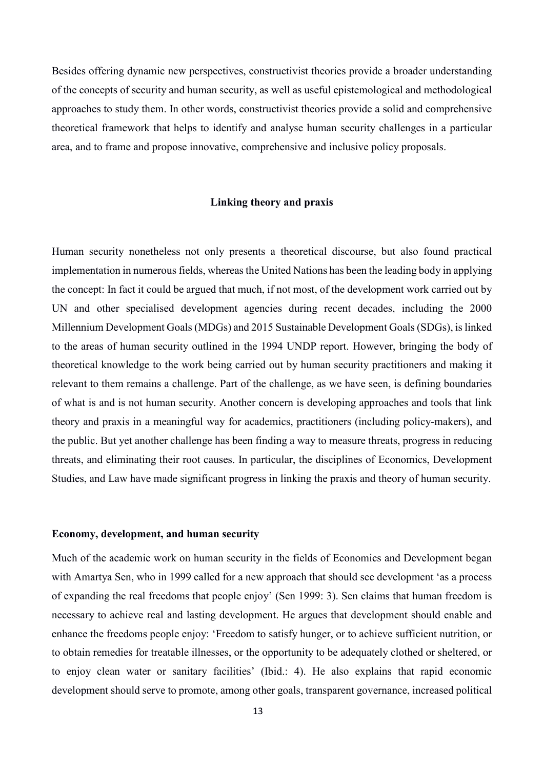Besides offering dynamic new perspectives, constructivist theories provide a broader understanding of the concepts of security and human security, as well as useful epistemological and methodological approaches to study them. In other words, constructivist theories provide a solid and comprehensive theoretical framework that helps to identify and analyse human security challenges in a particular area, and to frame and propose innovative, comprehensive and inclusive policy proposals.

#### **Linking theory and praxis**

Human security nonetheless not only presents a theoretical discourse, but also found practical implementation in numerous fields, whereas the United Nations has been the leading body in applying the concept: In fact it could be argued that much, if not most, of the development work carried out by UN and other specialised development agencies during recent decades, including the 2000 Millennium Development Goals (MDGs) and 2015 Sustainable Development Goals (SDGs), is linked to the areas of human security outlined in the 1994 UNDP report. However, bringing the body of theoretical knowledge to the work being carried out by human security practitioners and making it relevant to them remains a challenge. Part of the challenge, as we have seen, is defining boundaries of what is and is not human security. Another concern is developing approaches and tools that link theory and praxis in a meaningful way for academics, practitioners (including policy-makers), and the public. But yet another challenge has been finding a way to measure threats, progress in reducing threats, and eliminating their root causes. In particular, the disciplines of Economics, Development Studies, and Law have made significant progress in linking the praxis and theory of human security.

# **Economy, development, and human security**

Much of the academic work on human security in the fields of Economics and Development began with Amartya Sen, who in 1999 called for a new approach that should see development 'as a process of expanding the real freedoms that people enjoy' (Sen 1999: 3). Sen claims that human freedom is necessary to achieve real and lasting development. He argues that development should enable and enhance the freedoms people enjoy: 'Freedom to satisfy hunger, or to achieve sufficient nutrition, or to obtain remedies for treatable illnesses, or the opportunity to be adequately clothed or sheltered, or to enjoy clean water or sanitary facilities' (Ibid.: 4). He also explains that rapid economic development should serve to promote, among other goals, transparent governance, increased political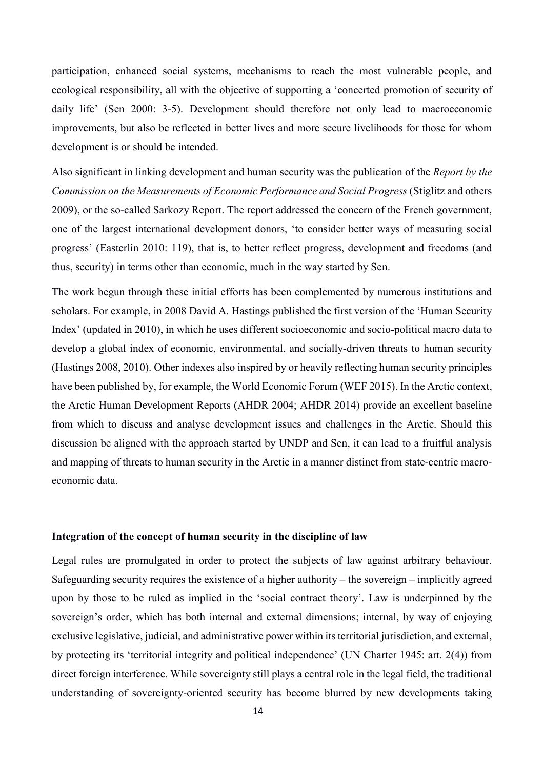participation, enhanced social systems, mechanisms to reach the most vulnerable people, and ecological responsibility, all with the objective of supporting a 'concerted promotion of security of daily life' (Sen 2000: 3-5). Development should therefore not only lead to macroeconomic improvements, but also be reflected in better lives and more secure livelihoods for those for whom development is or should be intended.

Also significant in linking development and human security was the publication of the *Report by the Commission on the Measurements of Economic Performance and Social Progress* (Stiglitz and others 2009), or the so-called Sarkozy Report. The report addressed the concern of the French government, one of the largest international development donors, 'to consider better ways of measuring social progress' (Easterlin 2010: 119), that is, to better reflect progress, development and freedoms (and thus, security) in terms other than economic, much in the way started by Sen.

The work begun through these initial efforts has been complemented by numerous institutions and scholars. For example, in 2008 David A. Hastings published the first version of the 'Human Security Index' (updated in 2010), in which he uses different socioeconomic and socio-political macro data to develop a global index of economic, environmental, and socially-driven threats to human security (Hastings 2008, 2010). Other indexes also inspired by or heavily reflecting human security principles have been published by, for example, the World Economic Forum (WEF 2015). In the Arctic context, the Arctic Human Development Reports (AHDR 2004; AHDR 2014) provide an excellent baseline from which to discuss and analyse development issues and challenges in the Arctic. Should this discussion be aligned with the approach started by UNDP and Sen, it can lead to a fruitful analysis and mapping of threats to human security in the Arctic in a manner distinct from state-centric macroeconomic data.

### **Integration of the concept of human security in the discipline of law**

Legal rules are promulgated in order to protect the subjects of law against arbitrary behaviour. Safeguarding security requires the existence of a higher authority – the sovereign – implicitly agreed upon by those to be ruled as implied in the 'social contract theory'. Law is underpinned by the sovereign's order, which has both internal and external dimensions; internal, by way of enjoying exclusive legislative, judicial, and administrative power within its territorial jurisdiction, and external, by protecting its 'territorial integrity and political independence' (UN Charter 1945: art. 2(4)) from direct foreign interference. While sovereignty still plays a central role in the legal field, the traditional understanding of sovereignty-oriented security has become blurred by new developments taking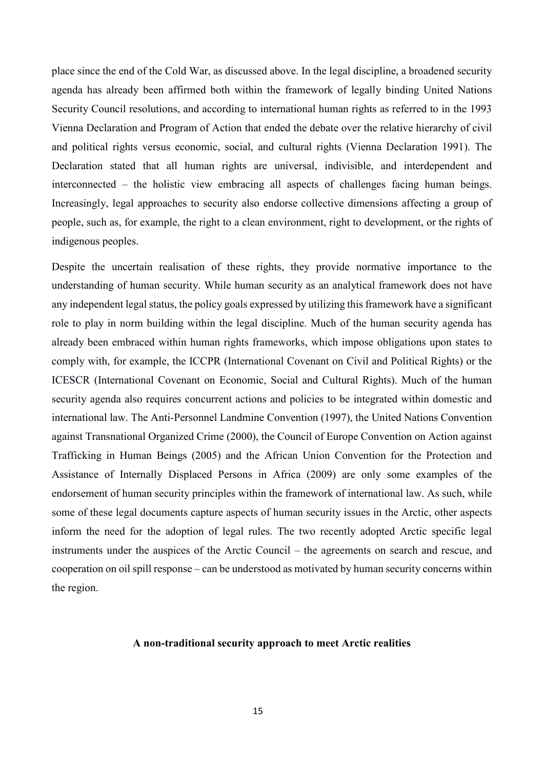place since the end of the Cold War, as discussed above. In the legal discipline, a broadened security agenda has already been affirmed both within the framework of legally binding United Nations Security Council resolutions, and according to international human rights as referred to in the 1993 Vienna Declaration and Program of Action that ended the debate over the relative hierarchy of civil and political rights versus economic, social, and cultural rights (Vienna Declaration 1991). The Declaration stated that all human rights are universal, indivisible, and interdependent and interconnected – the holistic view embracing all aspects of challenges facing human beings. Increasingly, legal approaches to security also endorse collective dimensions affecting a group of people, such as, for example, the right to a clean environment, right to development, or the rights of indigenous peoples.

Despite the uncertain realisation of these rights, they provide normative importance to the understanding of human security. While human security as an analytical framework does not have any independent legal status, the policy goals expressed by utilizing this framework have a significant role to play in norm building within the legal discipline. Much of the human security agenda has already been embraced within human rights frameworks, which impose obligations upon states to comply with, for example, the ICCPR (International Covenant on Civil and Political Rights) or the ICESCR (International Covenant on Economic, Social and Cultural Rights). Much of the human security agenda also requires concurrent actions and policies to be integrated within domestic and international law. The Anti-Personnel Landmine Convention (1997), the United Nations Convention against Transnational Organized Crime (2000), the Council of Europe Convention on Action against Trafficking in Human Beings (2005) and the African Union Convention for the Protection and Assistance of Internally Displaced Persons in Africa (2009) are only some examples of the endorsement of human security principles within the framework of international law. As such, while some of these legal documents capture aspects of human security issues in the Arctic, other aspects inform the need for the adoption of legal rules. The two recently adopted Arctic specific legal instruments under the auspices of the Arctic Council – the agreements on search and rescue, and cooperation on oil spill response – can be understood as motivated by human security concerns within the region.

## **A non-traditional security approach to meet Arctic realities**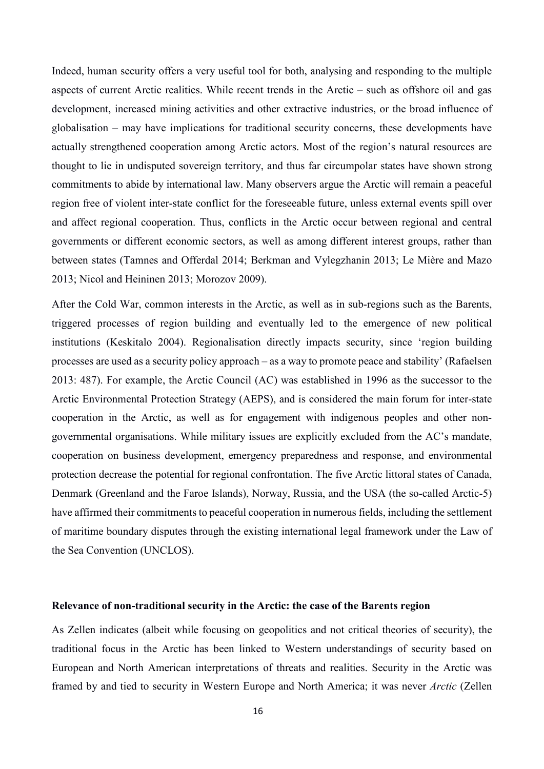Indeed, human security offers a very useful tool for both, analysing and responding to the multiple aspects of current Arctic realities. While recent trends in the Arctic – such as offshore oil and gas development, increased mining activities and other extractive industries, or the broad influence of globalisation – may have implications for traditional security concerns, these developments have actually strengthened cooperation among Arctic actors. Most of the region's natural resources are thought to lie in undisputed sovereign territory, and thus far circumpolar states have shown strong commitments to abide by international law. Many observers argue the Arctic will remain a peaceful region free of violent inter-state conflict for the foreseeable future, unless external events spill over and affect regional cooperation. Thus, conflicts in the Arctic occur between regional and central governments or different economic sectors, as well as among different interest groups, rather than between states (Tamnes and Offerdal 2014; Berkman and Vylegzhanin 2013; Le Mière and Mazo 2013; Nicol and Heininen 2013; Morozov 2009).

After the Cold War, common interests in the Arctic, as well as in sub-regions such as the Barents, triggered processes of region building and eventually led to the emergence of new political institutions (Keskitalo 2004). Regionalisation directly impacts security, since 'region building processes are used as a security policy approach – as a way to promote peace and stability' (Rafaelsen 2013: 487). For example, the Arctic Council (AC) was established in 1996 as the successor to the Arctic Environmental Protection Strategy (AEPS), and is considered the main forum for inter-state cooperation in the Arctic, as well as for engagement with indigenous peoples and other nongovernmental organisations. While military issues are explicitly excluded from the AC's mandate, cooperation on business development, emergency preparedness and response, and environmental protection decrease the potential for regional confrontation. The five Arctic littoral states of Canada, Denmark (Greenland and the Faroe Islands), Norway, Russia, and the USA (the so-called Arctic-5) have affirmed their commitments to peaceful cooperation in numerous fields, including the settlement of maritime boundary disputes through the existing international legal framework under the Law of the Sea Convention (UNCLOS).

# **Relevance of non-traditional security in the Arctic: the case of the Barents region**

As Zellen indicates (albeit while focusing on geopolitics and not critical theories of security), the traditional focus in the Arctic has been linked to Western understandings of security based on European and North American interpretations of threats and realities. Security in the Arctic was framed by and tied to security in Western Europe and North America; it was never *Arctic* (Zellen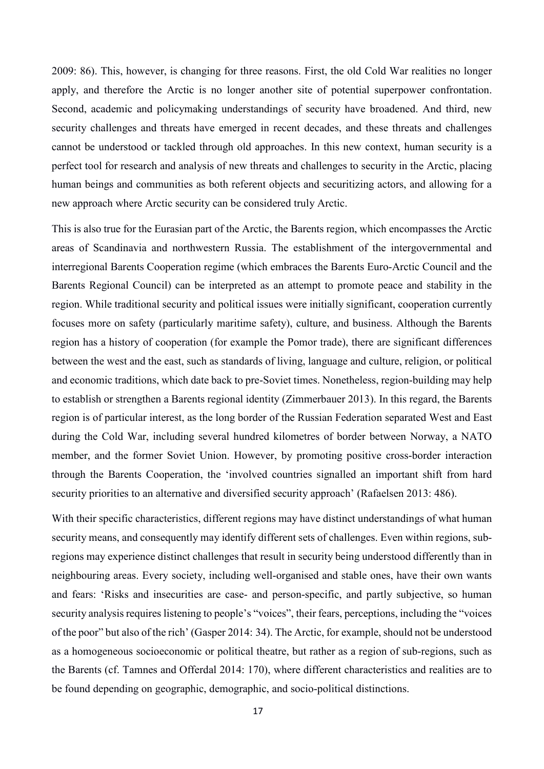2009: 86). This, however, is changing for three reasons. First, the old Cold War realities no longer apply, and therefore the Arctic is no longer another site of potential superpower confrontation. Second, academic and policymaking understandings of security have broadened. And third, new security challenges and threats have emerged in recent decades, and these threats and challenges cannot be understood or tackled through old approaches. In this new context, human security is a perfect tool for research and analysis of new threats and challenges to security in the Arctic, placing human beings and communities as both referent objects and securitizing actors, and allowing for a new approach where Arctic security can be considered truly Arctic.

This is also true for the Eurasian part of the Arctic, the Barents region, which encompasses the Arctic areas of Scandinavia and northwestern Russia. The establishment of the intergovernmental and interregional Barents Cooperation regime (which embraces the Barents Euro-Arctic Council and the Barents Regional Council) can be interpreted as an attempt to promote peace and stability in the region. While traditional security and political issues were initially significant, cooperation currently focuses more on safety (particularly maritime safety), culture, and business. Although the Barents region has a history of cooperation (for example the Pomor trade), there are significant differences between the west and the east, such as standards of living, language and culture, religion, or political and economic traditions, which date back to pre-Soviet times. Nonetheless, region-building may help to establish or strengthen a Barents regional identity (Zimmerbauer 2013). In this regard, the Barents region is of particular interest, as the long border of the Russian Federation separated West and East during the Cold War, including several hundred kilometres of border between Norway, a NATO member, and the former Soviet Union. However, by promoting positive cross-border interaction through the Barents Cooperation, the 'involved countries signalled an important shift from hard security priorities to an alternative and diversified security approach' (Rafaelsen 2013: 486).

With their specific characteristics, different regions may have distinct understandings of what human security means, and consequently may identify different sets of challenges. Even within regions, subregions may experience distinct challenges that result in security being understood differently than in neighbouring areas. Every society, including well-organised and stable ones, have their own wants and fears: 'Risks and insecurities are case- and person-specific, and partly subjective, so human security analysis requires listening to people's "voices", their fears, perceptions, including the "voices of the poor" but also of the rich' (Gasper 2014: 34). The Arctic, for example, should not be understood as a homogeneous socioeconomic or political theatre, but rather as a region of sub-regions, such as the Barents (cf. Tamnes and Offerdal 2014: 170), where different characteristics and realities are to be found depending on geographic, demographic, and socio-political distinctions.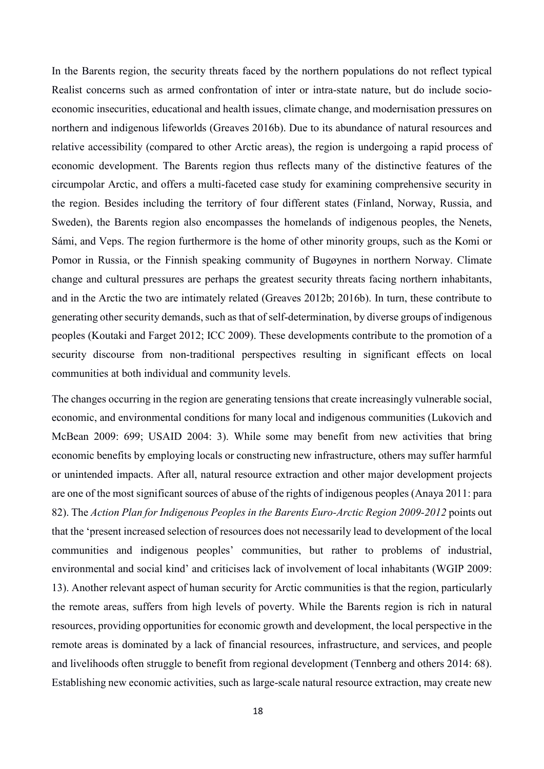In the Barents region, the security threats faced by the northern populations do not reflect typical Realist concerns such as armed confrontation of inter or intra-state nature, but do include socioeconomic insecurities, educational and health issues, climate change, and modernisation pressures on northern and indigenous lifeworlds (Greaves 2016b). Due to its abundance of natural resources and relative accessibility (compared to other Arctic areas), the region is undergoing a rapid process of economic development. The Barents region thus reflects many of the distinctive features of the circumpolar Arctic, and offers a multi-faceted case study for examining comprehensive security in the region. Besides including the territory of four different states (Finland, Norway, Russia, and Sweden), the Barents region also encompasses the homelands of indigenous peoples, the Nenets, Sámi, and Veps. The region furthermore is the home of other minority groups, such as the Komi or Pomor in Russia, or the Finnish speaking community of Bugøynes in northern Norway. Climate change and cultural pressures are perhaps the greatest security threats facing northern inhabitants, and in the Arctic the two are intimately related (Greaves 2012b; 2016b). In turn, these contribute to generating other security demands, such as that of self-determination, by diverse groups of indigenous peoples (Koutaki and Farget 2012; ICC 2009). These developments contribute to the promotion of a security discourse from non-traditional perspectives resulting in significant effects on local communities at both individual and community levels.

The changes occurring in the region are generating tensions that create increasingly vulnerable social, economic, and environmental conditions for many local and indigenous communities (Lukovich and McBean 2009: 699; USAID 2004: 3). While some may benefit from new activities that bring economic benefits by employing locals or constructing new infrastructure, others may suffer harmful or unintended impacts. After all, natural resource extraction and other major development projects are one of the most significant sources of abuse of the rights of indigenous peoples (Anaya 2011: para 82). The *Action Plan for Indigenous Peoples in the Barents Euro-Arctic Region 2009-2012* points out that the 'present increased selection of resources does not necessarily lead to development of the local communities and indigenous peoples' communities, but rather to problems of industrial, environmental and social kind' and criticises lack of involvement of local inhabitants (WGIP 2009: 13). Another relevant aspect of human security for Arctic communities is that the region, particularly the remote areas, suffers from high levels of poverty. While the Barents region is rich in natural resources, providing opportunities for economic growth and development, the local perspective in the remote areas is dominated by a lack of financial resources, infrastructure, and services, and people and livelihoods often struggle to benefit from regional development (Tennberg and others 2014: 68). Establishing new economic activities, such as large-scale natural resource extraction, may create new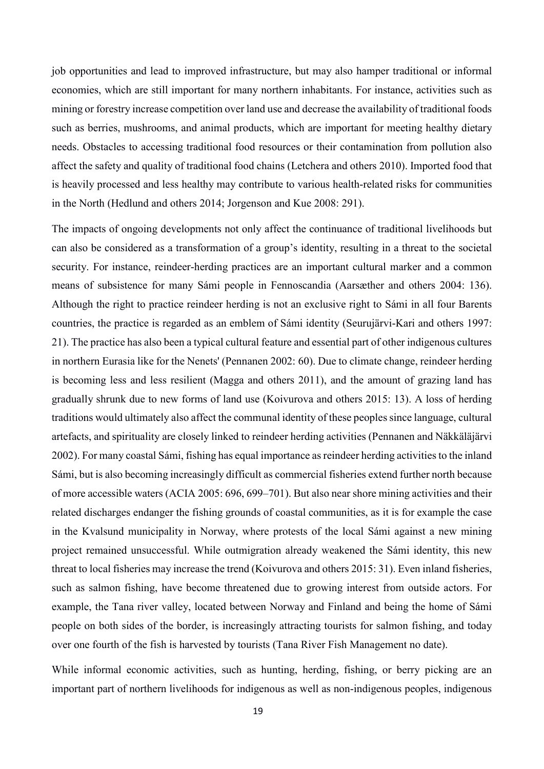job opportunities and lead to improved infrastructure, but may also hamper traditional or informal economies, which are still important for many northern inhabitants. For instance, activities such as mining or forestry increase competition over land use and decrease the availability of traditional foods such as berries, mushrooms, and animal products, which are important for meeting healthy dietary needs. Obstacles to accessing traditional food resources or their contamination from pollution also affect the safety and quality of traditional food chains (Letchera and others 2010). Imported food that is heavily processed and less healthy may contribute to various health-related risks for communities in the North (Hedlund and others 2014; Jorgenson and Kue 2008: 291).

The impacts of ongoing developments not only affect the continuance of traditional livelihoods but can also be considered as a transformation of a group's identity, resulting in a threat to the societal security. For instance, reindeer-herding practices are an important cultural marker and a common means of subsistence for many Sámi people in Fennoscandia (Aarsæther and others 2004: 136). Although the right to practice reindeer herding is not an exclusive right to Sámi in all four Barents countries, the practice is regarded as an emblem of Sámi identity (Seurujärvi-Kari and others 1997: 21). The practice has also been a typical cultural feature and essential part of other indigenous cultures in northern Eurasia like for the Nenets' (Pennanen 2002: 60). Due to climate change, reindeer herding is becoming less and less resilient (Magga and others 2011), and the amount of grazing land has gradually shrunk due to new forms of land use (Koivurova and others 2015: 13). A loss of herding traditions would ultimately also affect the communal identity of these peoples since language, cultural artefacts, and spirituality are closely linked to reindeer herding activities (Pennanen and Näkkäläjärvi 2002). For many coastal Sámi, fishing has equal importance as reindeer herding activities to the inland Sámi, but is also becoming increasingly difficult as commercial fisheries extend further north because of more accessible waters (ACIA 2005: 696, 699–701). But also near shore mining activities and their related discharges endanger the fishing grounds of coastal communities, as it is for example the case in the Kvalsund municipality in Norway, where protests of the local Sámi against a new mining project remained unsuccessful. While outmigration already weakened the Sámi identity, this new threat to local fisheries may increase the trend (Koivurova and others 2015: 31). Even inland fisheries, such as salmon fishing, have become threatened due to growing interest from outside actors. For example, the Tana river valley, located between Norway and Finland and being the home of Sámi people on both sides of the border, is increasingly attracting tourists for salmon fishing, and today over one fourth of the fish is harvested by tourists (Tana River Fish Management no date).

While informal economic activities, such as hunting, herding, fishing, or berry picking are an important part of northern livelihoods for indigenous as well as non-indigenous peoples, indigenous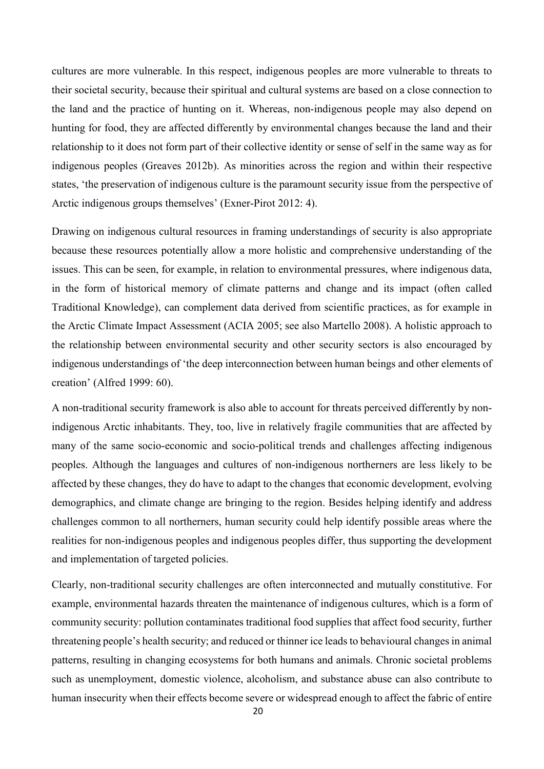cultures are more vulnerable. In this respect, indigenous peoples are more vulnerable to threats to their societal security, because their spiritual and cultural systems are based on a close connection to the land and the practice of hunting on it. Whereas, non-indigenous people may also depend on hunting for food, they are affected differently by environmental changes because the land and their relationship to it does not form part of their collective identity or sense of self in the same way as for indigenous peoples (Greaves 2012b). As minorities across the region and within their respective states, 'the preservation of indigenous culture is the paramount security issue from the perspective of Arctic indigenous groups themselves' (Exner-Pirot 2012: 4).

Drawing on indigenous cultural resources in framing understandings of security is also appropriate because these resources potentially allow a more holistic and comprehensive understanding of the issues. This can be seen, for example, in relation to environmental pressures, where indigenous data, in the form of historical memory of climate patterns and change and its impact (often called Traditional Knowledge), can complement data derived from scientific practices, as for example in the Arctic Climate Impact Assessment (ACIA 2005; see also Martello 2008). A holistic approach to the relationship between environmental security and other security sectors is also encouraged by indigenous understandings of 'the deep interconnection between human beings and other elements of creation' (Alfred 1999: 60).

A non-traditional security framework is also able to account for threats perceived differently by nonindigenous Arctic inhabitants. They, too, live in relatively fragile communities that are affected by many of the same socio-economic and socio-political trends and challenges affecting indigenous peoples. Although the languages and cultures of non-indigenous northerners are less likely to be affected by these changes, they do have to adapt to the changes that economic development, evolving demographics, and climate change are bringing to the region. Besides helping identify and address challenges common to all northerners, human security could help identify possible areas where the realities for non-indigenous peoples and indigenous peoples differ, thus supporting the development and implementation of targeted policies.

Clearly, non-traditional security challenges are often interconnected and mutually constitutive. For example, environmental hazards threaten the maintenance of indigenous cultures, which is a form of community security: pollution contaminates traditional food supplies that affect food security, further threatening people's health security; and reduced or thinner ice leads to behavioural changes in animal patterns, resulting in changing ecosystems for both humans and animals. Chronic societal problems such as unemployment, domestic violence, alcoholism, and substance abuse can also contribute to human insecurity when their effects become severe or widespread enough to affect the fabric of entire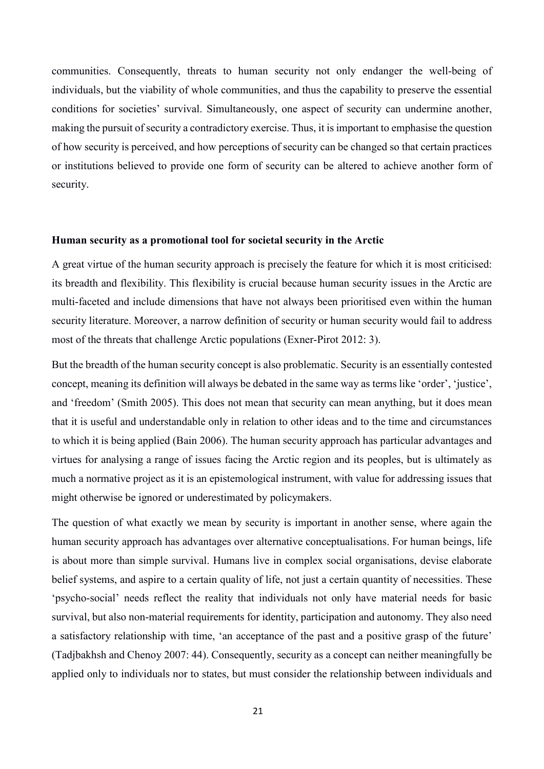communities. Consequently, threats to human security not only endanger the well-being of individuals, but the viability of whole communities, and thus the capability to preserve the essential conditions for societies' survival. Simultaneously, one aspect of security can undermine another, making the pursuit of security a contradictory exercise. Thus, it is important to emphasise the question of how security is perceived, and how perceptions of security can be changed so that certain practices or institutions believed to provide one form of security can be altered to achieve another form of security.

#### **Human security as a promotional tool for societal security in the Arctic**

A great virtue of the human security approach is precisely the feature for which it is most criticised: its breadth and flexibility. This flexibility is crucial because human security issues in the Arctic are multi-faceted and include dimensions that have not always been prioritised even within the human security literature. Moreover, a narrow definition of security or human security would fail to address most of the threats that challenge Arctic populations (Exner-Pirot 2012: 3).

But the breadth of the human security concept is also problematic. Security is an essentially contested concept, meaning its definition will always be debated in the same way as terms like 'order', 'justice', and 'freedom' (Smith 2005). This does not mean that security can mean anything, but it does mean that it is useful and understandable only in relation to other ideas and to the time and circumstances to which it is being applied (Bain 2006). The human security approach has particular advantages and virtues for analysing a range of issues facing the Arctic region and its peoples, but is ultimately as much a normative project as it is an epistemological instrument, with value for addressing issues that might otherwise be ignored or underestimated by policymakers.

The question of what exactly we mean by security is important in another sense, where again the human security approach has advantages over alternative conceptualisations. For human beings, life is about more than simple survival. Humans live in complex social organisations, devise elaborate belief systems, and aspire to a certain quality of life, not just a certain quantity of necessities. These 'psycho-social' needs reflect the reality that individuals not only have material needs for basic survival, but also non-material requirements for identity, participation and autonomy. They also need a satisfactory relationship with time, 'an acceptance of the past and a positive grasp of the future' (Tadjbakhsh and Chenoy 2007: 44). Consequently, security as a concept can neither meaningfully be applied only to individuals nor to states, but must consider the relationship between individuals and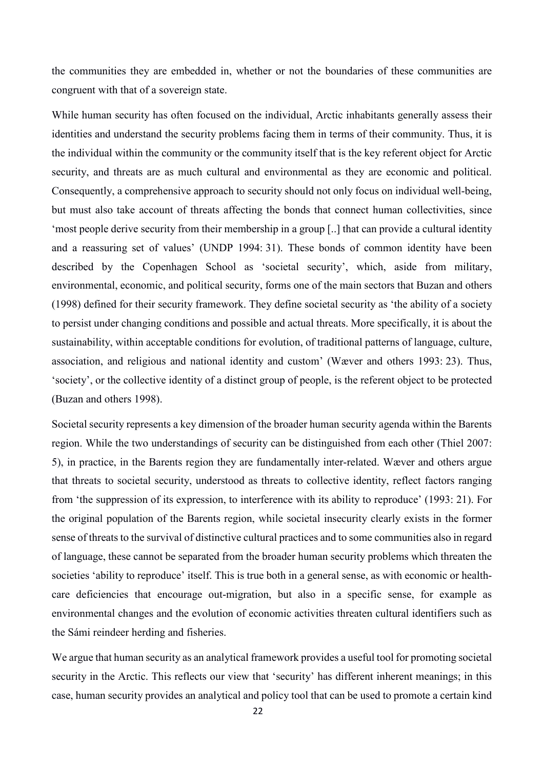the communities they are embedded in, whether or not the boundaries of these communities are congruent with that of a sovereign state.

While human security has often focused on the individual, Arctic inhabitants generally assess their identities and understand the security problems facing them in terms of their community. Thus, it is the individual within the community or the community itself that is the key referent object for Arctic security, and threats are as much cultural and environmental as they are economic and political. Consequently, a comprehensive approach to security should not only focus on individual well-being, but must also take account of threats affecting the bonds that connect human collectivities, since 'most people derive security from their membership in a group [..] that can provide a cultural identity and a reassuring set of values' (UNDP 1994: 31). These bonds of common identity have been described by the Copenhagen School as 'societal security', which, aside from military, environmental, economic, and political security, forms one of the main sectors that Buzan and others (1998) defined for their security framework. They define societal security as 'the ability of a society to persist under changing conditions and possible and actual threats. More specifically, it is about the sustainability, within acceptable conditions for evolution, of traditional patterns of language, culture, association, and religious and national identity and custom' (Wæver and others 1993: 23). Thus, 'society', or the collective identity of a distinct group of people, is the referent object to be protected (Buzan and others 1998).

Societal security represents a key dimension of the broader human security agenda within the Barents region. While the two understandings of security can be distinguished from each other (Thiel 2007: 5), in practice, in the Barents region they are fundamentally inter-related. Wæver and others argue that threats to societal security, understood as threats to collective identity, reflect factors ranging from 'the suppression of its expression, to interference with its ability to reproduce' (1993: 21). For the original population of the Barents region, while societal insecurity clearly exists in the former sense of threats to the survival of distinctive cultural practices and to some communities also in regard of language, these cannot be separated from the broader human security problems which threaten the societies 'ability to reproduce' itself. This is true both in a general sense, as with economic or healthcare deficiencies that encourage out-migration, but also in a specific sense, for example as environmental changes and the evolution of economic activities threaten cultural identifiers such as the Sámi reindeer herding and fisheries.

We argue that human security as an analytical framework provides a useful tool for promoting societal security in the Arctic. This reflects our view that 'security' has different inherent meanings; in this case, human security provides an analytical and policy tool that can be used to promote a certain kind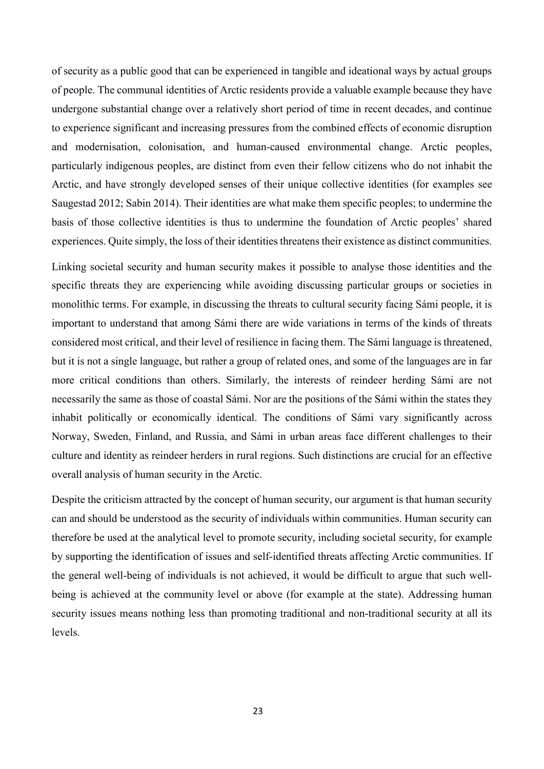of security as a public good that can be experienced in tangible and ideational ways by actual groups of people. The communal identities of Arctic residents provide a valuable example because they have undergone substantial change over a relatively short period of time in recent decades, and continue to experience significant and increasing pressures from the combined effects of economic disruption and modernisation, colonisation, and human-caused environmental change. Arctic peoples, particularly indigenous peoples, are distinct from even their fellow citizens who do not inhabit the Arctic, and have strongly developed senses of their unique collective identities (for examples see Saugestad 2012; Sabin 2014). Their identities are what make them specific peoples; to undermine the basis of those collective identities is thus to undermine the foundation of Arctic peoples' shared experiences. Quite simply, the loss of their identities threatens their existence as distinct communities.

Linking societal security and human security makes it possible to analyse those identities and the specific threats they are experiencing while avoiding discussing particular groups or societies in monolithic terms. For example, in discussing the threats to cultural security facing Sámi people, it is important to understand that among Sámi there are wide variations in terms of the kinds of threats considered most critical, and their level of resilience in facing them. The Sámi language is threatened, but it is not a single language, but rather a group of related ones, and some of the languages are in far more critical conditions than others. Similarly, the interests of reindeer herding Sámi are not necessarily the same as those of coastal Sámi. Nor are the positions of the Sámi within the states they inhabit politically or economically identical. The conditions of Sámi vary significantly across Norway, Sweden, Finland, and Russia, and Sámi in urban areas face different challenges to their culture and identity as reindeer herders in rural regions. Such distinctions are crucial for an effective overall analysis of human security in the Arctic.

Despite the criticism attracted by the concept of human security, our argument is that human security can and should be understood as the security of individuals within communities. Human security can therefore be used at the analytical level to promote security, including societal security, for example by supporting the identification of issues and self-identified threats affecting Arctic communities. If the general well-being of individuals is not achieved, it would be difficult to argue that such wellbeing is achieved at the community level or above (for example at the state). Addressing human security issues means nothing less than promoting traditional and non-traditional security at all its levels.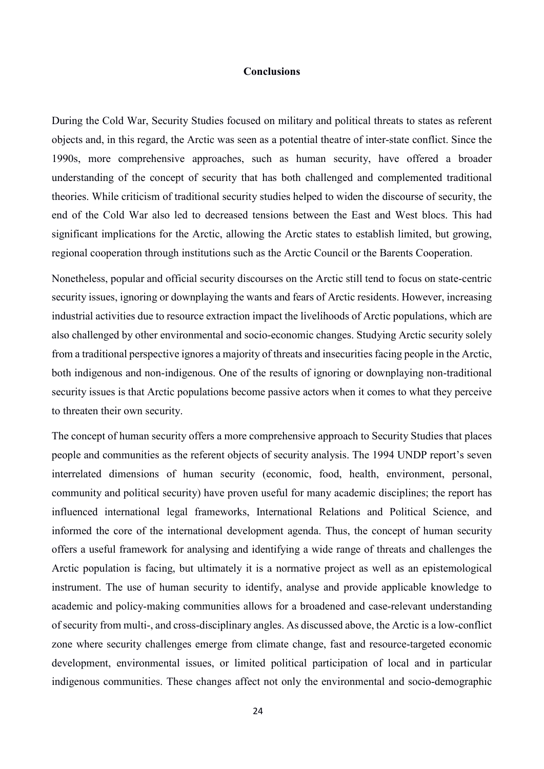# **Conclusions**

During the Cold War, Security Studies focused on military and political threats to states as referent objects and, in this regard, the Arctic was seen as a potential theatre of inter-state conflict. Since the 1990s, more comprehensive approaches, such as human security, have offered a broader understanding of the concept of security that has both challenged and complemented traditional theories. While criticism of traditional security studies helped to widen the discourse of security, the end of the Cold War also led to decreased tensions between the East and West blocs. This had significant implications for the Arctic, allowing the Arctic states to establish limited, but growing, regional cooperation through institutions such as the Arctic Council or the Barents Cooperation.

Nonetheless, popular and official security discourses on the Arctic still tend to focus on state-centric security issues, ignoring or downplaying the wants and fears of Arctic residents. However, increasing industrial activities due to resource extraction impact the livelihoods of Arctic populations, which are also challenged by other environmental and socio-economic changes. Studying Arctic security solely from a traditional perspective ignores a majority of threats and insecurities facing people in the Arctic, both indigenous and non-indigenous. One of the results of ignoring or downplaying non-traditional security issues is that Arctic populations become passive actors when it comes to what they perceive to threaten their own security.

The concept of human security offers a more comprehensive approach to Security Studies that places people and communities as the referent objects of security analysis. The 1994 UNDP report's seven interrelated dimensions of human security (economic, food, health, environment, personal, community and political security) have proven useful for many academic disciplines; the report has influenced international legal frameworks, International Relations and Political Science, and informed the core of the international development agenda. Thus, the concept of human security offers a useful framework for analysing and identifying a wide range of threats and challenges the Arctic population is facing, but ultimately it is a normative project as well as an epistemological instrument. The use of human security to identify, analyse and provide applicable knowledge to academic and policy-making communities allows for a broadened and case-relevant understanding of security from multi-, and cross-disciplinary angles. As discussed above, the Arctic is a low-conflict zone where security challenges emerge from climate change, fast and resource-targeted economic development, environmental issues, or limited political participation of local and in particular indigenous communities. These changes affect not only the environmental and socio-demographic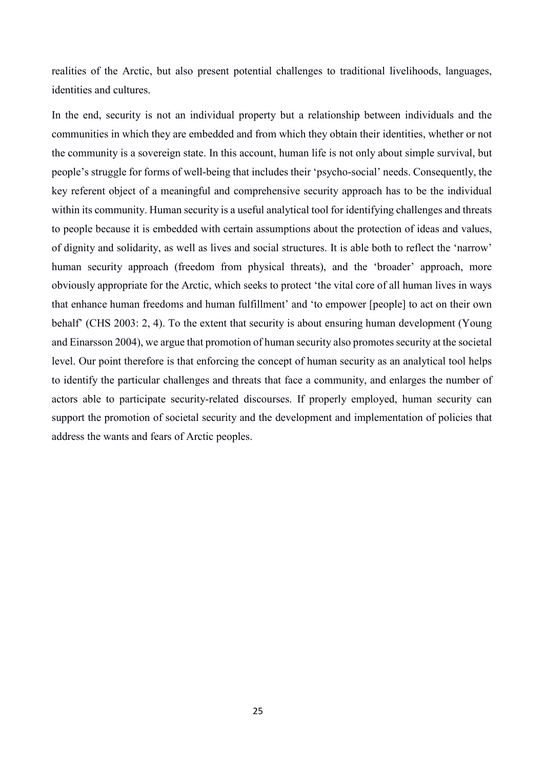realities of the Arctic, but also present potential challenges to traditional livelihoods, languages, identities and cultures.

In the end, security is not an individual property but a relationship between individuals and the communities in which they are embedded and from which they obtain their identities, whether or not the community is a sovereign state. In this account, human life is not only about simple survival, but people's struggle for forms of well-being that includes their 'psycho-social' needs. Consequently, the key referent object of a meaningful and comprehensive security approach has to be the individual within its community. Human security is a useful analytical tool for identifying challenges and threats to people because it is embedded with certain assumptions about the protection of ideas and values, of dignity and solidarity, as well as lives and social structures. It is able both to reflect the 'narrow' human security approach (freedom from physical threats), and the 'broader' approach, more obviously appropriate for the Arctic, which seeks to protect 'the vital core of all human lives in ways that enhance human freedoms and human fulfillment' and 'to empower [people] to act on their own behalf' (CHS 2003: 2, 4). To the extent that security is about ensuring human development (Young and Einarsson 2004), we argue that promotion of human security also promotes security at the societal level. Our point therefore is that enforcing the concept of human security as an analytical tool helps to identify the particular challenges and threats that face a community, and enlarges the number of actors able to participate security-related discourses. If properly employed, human security can support the promotion of societal security and the development and implementation of policies that address the wants and fears of Arctic peoples.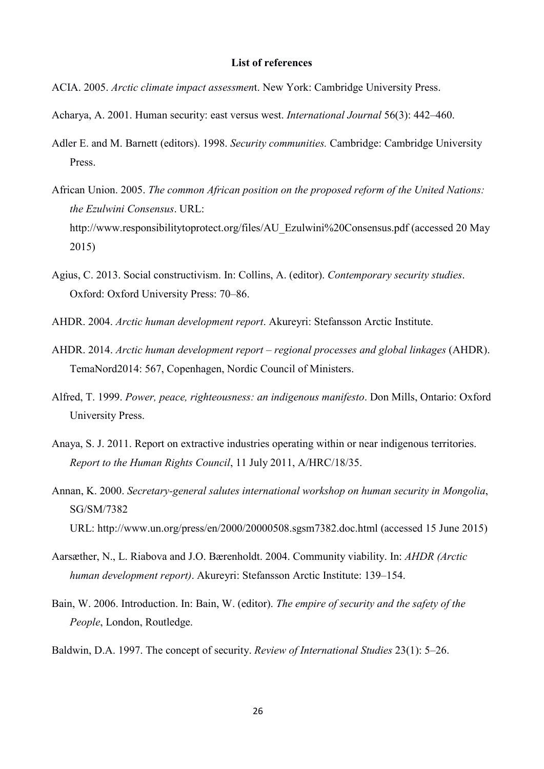#### **List of references**

- ACIA. 2005. *Arctic climate impact assessmen*t. New York: Cambridge University Press.
- Acharya, A. 2001. Human security: east versus west. *International Journal* 56(3): 442–460.
- Adler E. and M. Barnett (editors). 1998. *Security communities.* Cambridge: Cambridge University Press.
- African Union. 2005. *The common African position on the proposed reform of the United Nations: the Ezulwini Consensus*. URL: http://www.responsibilitytoprotect.org/files/AU\_Ezulwini%20Consensus.pdf (accessed 20 May 2015)
- Agius, C. 2013. Social constructivism. In: Collins, A. (editor). *Contemporary security studies*. Oxford: Oxford University Press: 70–86.
- AHDR. 2004. *Arctic human development report*. Akureyri: Stefansson Arctic Institute.
- AHDR. 2014. *Arctic human development report regional processes and global linkages* (AHDR). TemaNord2014: 567, Copenhagen, Nordic Council of Ministers.
- Alfred, T. 1999. *Power, peace, righteousness: an indigenous manifesto*. Don Mills, Ontario: Oxford University Press.
- Anaya, S. J. 2011. Report on extractive industries operating within or near indigenous territories. *Report to the Human Rights Council*, 11 July 2011, A/HRC/18/35.
- Annan, K. 2000. *Secretary-general salutes international workshop on human security in Mongolia*, SG/SM/7382 URL:<http://www.un.org/press/en/2000/20000508.sgsm7382.doc.html>(accessed 15 June 2015)
- Aarsæther, N., L. Riabova and J.O. Bærenholdt. 2004. Community viability. In: *AHDR (Arctic human development report)*. Akureyri: Stefansson Arctic Institute: 139–154.
- Bain, W. 2006. Introduction. In: Bain, W. (editor). *The empire of security and the safety of the People*, London, Routledge.
- Baldwin, D.A. 1997. The concept of security. *Review of International Studies* 23(1): 5–26.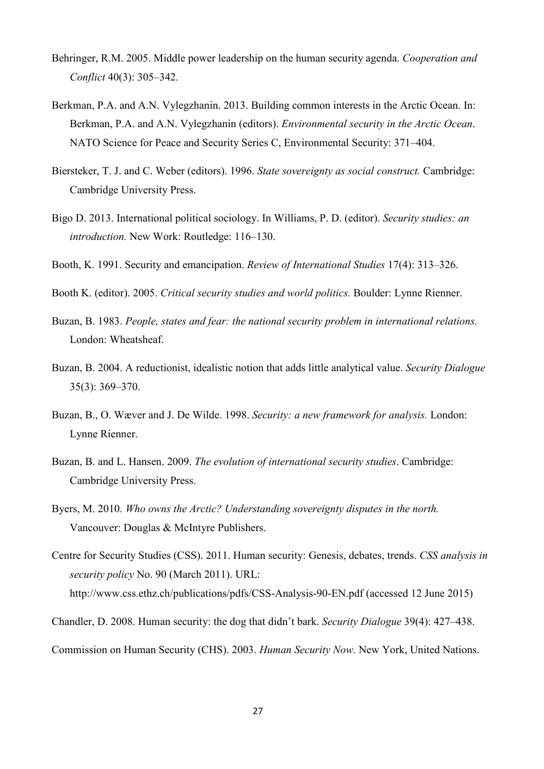- Behringer, R.M. 2005. Middle power leadership on the human security agenda. *Cooperation and Conflict* 40(3): 305–342.
- Berkman, P.A. and A.N. Vylegzhanin. 2013. Building common interests in the Arctic Ocean. In: Berkman, P.A. and A.N. Vylegzhanin (editors). *Environmental security in the Arctic Ocean*. NATO Science for Peace and Security Series C, Environmental Security: 371–404.
- Biersteker, T. J. and C. Weber (editors). 1996. *State sovereignty as social construct.* Cambridge: Cambridge University Press.
- Bigo D. 2013. International political sociology. In Williams, P. D. (editor). *Security studies: an introduction.* New Work: Routledge: 116–130.
- Booth, K. 1991. Security and emancipation. *Review of International Studies* 17(4): 313–326.
- Booth K. (editor). 2005. *Critical security studies and world politics.* Boulder: Lynne Rienner.
- Buzan, B. 1983. *People, states and fear: the national security problem in international relations.* London: Wheatsheaf.
- Buzan, B. 2004. A reductionist, idealistic notion that adds little analytical value. *Security Dialogue* 35(3): 369–370.
- Buzan, B., O. Wæver and J. De Wilde. 1998. *Security: a new framework for analysis.* London: Lynne Rienner.
- Buzan, B. and L. Hansen. 2009. *The evolution of international security studies*. Cambridge: Cambridge University Press.
- Byers, M. 2010. *Who owns the Arctic? Understanding sovereignty disputes in the north.* Vancouver: Douglas & McIntyre Publishers.
- Centre for Security Studies (CSS). 2011. Human security: Genesis, debates, trends. *CSS analysis in security policy* No. 90 (March 2011). URL: http:/[/www.css.ethz.ch/publications/pdfs/CSS-Analysis-90-EN.pdf](http://www.css.ethz.ch/publications/pdfs/CSS-Analysis-90-EN.pdf) (accessed 12 June 2015)
- Chandler, D. 2008. Human security: the dog that didn't bark. *Security Dialogue* 39(4): 427–438.

Commission on Human Security (CHS). 2003. *Human Security Now.* New York, United Nations.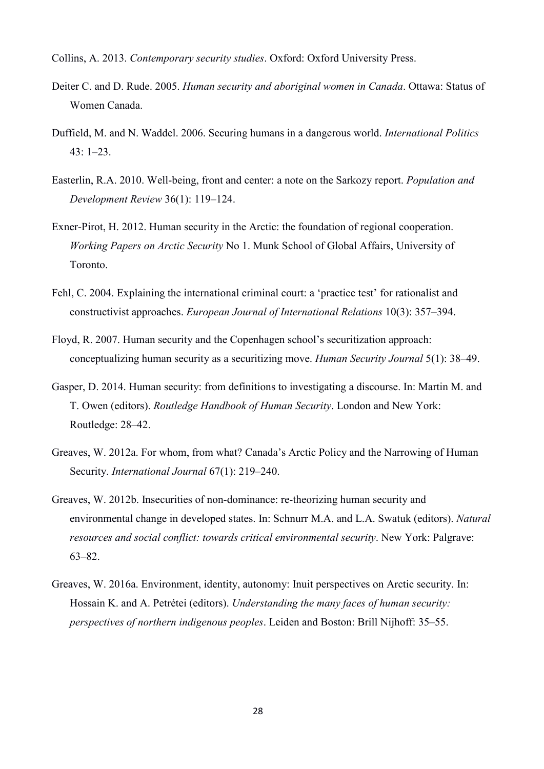Collins, A. 2013. *Contemporary security studies*. Oxford: Oxford University Press.

- Deiter C. and D. Rude. 2005. *Human security and aboriginal women in Canada*. Ottawa: Status of Women Canada.
- Duffield, M. and N. Waddel. 2006. Securing humans in a dangerous world. *International Politics*  43: 1–23.
- Easterlin, R.A. 2010. Well-being, front and center: a note on the Sarkozy report. *Population and Development Review* 36(1): 119–124.
- Exner-Pirot, H. 2012. Human security in the Arctic: the foundation of regional cooperation. *Working Papers on Arctic Security* No 1. Munk School of Global Affairs, University of Toronto.
- Fehl, C. 2004. Explaining the international criminal court: a 'practice test' for rationalist and constructivist approaches. *European Journal of International Relations* 10(3): 357–394.
- Floyd, R. 2007. Human security and the Copenhagen school's securitization approach: conceptualizing human security as a securitizing move. *Human Security Journal* 5(1): 38–49.
- Gasper, D. 2014. Human security: from definitions to investigating a discourse. In: Martin M. and T. Owen (editors). *Routledge Handbook of Human Security*. London and New York: Routledge: 28–42.
- Greaves, W. 2012a. For whom, from what? Canada's Arctic Policy and the Narrowing of Human Security. *International Journal* 67(1): 219–240.
- Greaves, W. 2012b. Insecurities of non-dominance: re-theorizing human security and environmental change in developed states. In: Schnurr M.A. and L.A. Swatuk (editors). *Natural resources and social conflict: towards critical environmental security*. New York: Palgrave: 63–82.
- Greaves, W. 2016a. Environment, identity, autonomy: Inuit perspectives on Arctic security. In: Hossain K. and A. Petrétei (editors). *Understanding the many faces of human security: perspectives of northern indigenous peoples*. Leiden and Boston: Brill Nijhoff: 35–55.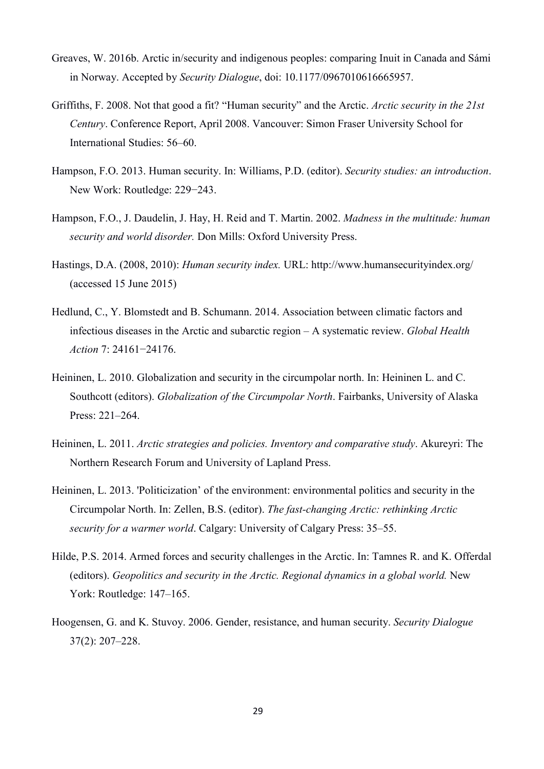- Greaves, W. 2016b. Arctic in/security and indigenous peoples: comparing Inuit in Canada and Sámi in Norway. Accepted by *Security Dialogue*, doi: 10.1177/0967010616665957.
- Griffiths, F. 2008. Not that good a fit? "Human security" and the Arctic. *Arctic security in the 21st Century*. Conference Report, April 2008. Vancouver: Simon Fraser University School for International Studies: 56–60.
- Hampson, F.O. 2013. Human security. In: Williams, P.D. (editor). *Security studies: an introduction*. New Work: Routledge: 229−243.
- Hampson, F.O., J. Daudelin, J. Hay, H. Reid and T. Martin. 2002. *Madness in the multitude: human security and world disorder.* Don Mills: Oxford University Press.
- Hastings, D.A. (2008, 2010): *Human security index.* URL:<http://www.humansecurityindex.org/> (accessed 15 June 2015)
- Hedlund, C., Y. Blomstedt and B. Schumann. 2014. Association between climatic factors and infectious diseases in the Arctic and subarctic region – A systematic review. *Global Health Action* 7: 24161−24176.
- Heininen, L. 2010. Globalization and security in the circumpolar north. In: Heininen L. and C. Southcott (editors). *Globalization of the Circumpolar North*. Fairbanks, University of Alaska Press: 221–264.
- Heininen, L. 2011. *Arctic strategies and policies. Inventory and comparative study*. Akureyri: The Northern Research Forum and University of Lapland Press.
- Heininen, L. 2013. 'Politicization' of the environment: environmental politics and security in the Circumpolar North. In: Zellen, B.S. (editor). *The fast-changing Arctic: rethinking Arctic security for a warmer world*. Calgary: University of Calgary Press: 35–55.
- Hilde, P.S. 2014. Armed forces and security challenges in the Arctic. In: Tamnes R. and K. Offerdal (editors). *Geopolitics and security in the Arctic. Regional dynamics in a global world.* New York: Routledge: 147–165.
- Hoogensen, G. and K. Stuvoy. 2006. Gender, resistance, and human security. *Security Dialogue*  37(2): 207–228.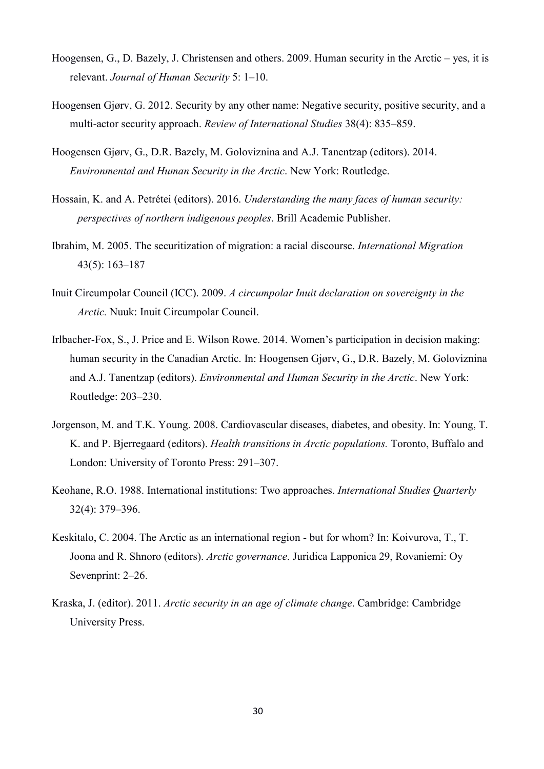- Hoogensen, G., D. Bazely, J. Christensen and others. 2009. Human security in the Arctic yes, it is relevant. *Journal of Human Security* 5: 1–10.
- Hoogensen Gjørv, G. 2012. Security by any other name: Negative security, positive security, and a multi-actor security approach. *Review of International Studies* 38(4): 835–859.
- Hoogensen Gjørv, G., D.R. Bazely, M. Goloviznina and A.J. Tanentzap (editors). 2014. *Environmental and Human Security in the Arctic*. New York: Routledge.
- Hossain, K. and A. Petrétei (editors). 2016. *Understanding the many faces of human security: perspectives of northern indigenous peoples*. Brill Academic Publisher.
- Ibrahim, M. 2005. The securitization of migration: a racial discourse. *International Migration*  43(5): 163–187
- Inuit Circumpolar Council (ICC). 2009. *A circumpolar Inuit declaration on sovereignty in the Arctic.* Nuuk: Inuit Circumpolar Council.
- Irlbacher-Fox, S., J. Price and E. Wilson Rowe. 2014. Women's participation in decision making: human security in the Canadian Arctic. In: Hoogensen Gjørv, G., D.R. Bazely, M. Goloviznina and A.J. Tanentzap (editors). *Environmental and Human Security in the Arctic*. New York: Routledge: 203–230.
- Jorgenson, M. and T.K. Young. 2008. Cardiovascular diseases, diabetes, and obesity. In: Young, T. K. and P. Bjerregaard (editors). *Health transitions in Arctic populations.* Toronto, Buffalo and London: University of Toronto Press: 291–307.
- Keohane, R.O. 1988. International institutions: Two approaches. *International Studies Quarterly* 32(4): 379–396.
- Keskitalo, C. 2004. The Arctic as an international region but for whom? In: Koivurova, T., T. Joona and R. Shnoro (editors). *Arctic governance*. Juridica Lapponica 29, Rovaniemi: Oy Sevenprint: 2–26.
- Kraska, J. (editor). 2011. *Arctic security in an age of climate change*. Cambridge: Cambridge University Press.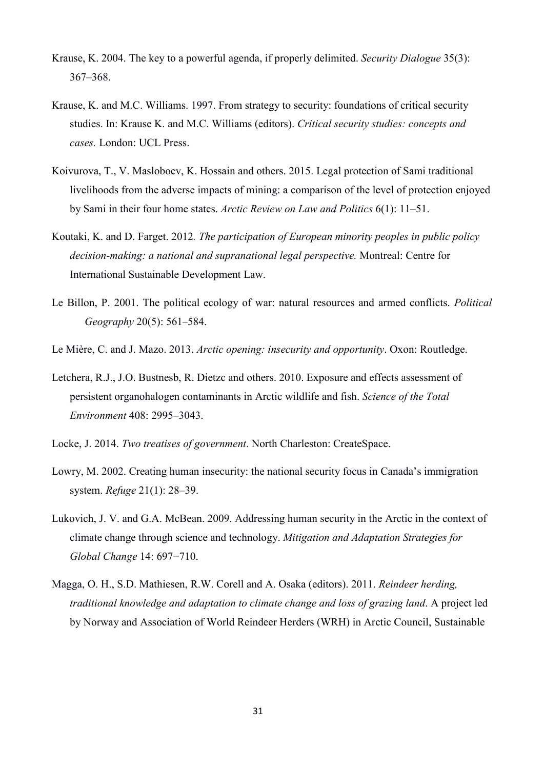- Krause, K. 2004. The key to a powerful agenda, if properly delimited. *Security Dialogue* 35(3): 367–368.
- Krause, K. and M.C. Williams. 1997. From strategy to security: foundations of critical security studies. In: Krause K. and M.C. Williams (editors). *Critical security studies: concepts and cases.* London: UCL Press.
- Koivurova, T., V. Masloboev, K. Hossain and others. 2015. Legal protection of Sami traditional livelihoods from the adverse impacts of mining: a comparison of the level of protection enjoyed by Sami in their four home states. *Arctic Review on Law and Politics* 6(1): 11–51.
- Koutaki, K. and D. Farget. 2012*. The participation of European minority peoples in public policy decision-making: a national and supranational legal perspective.* Montreal: Centre for International Sustainable Development Law.
- Le Billon, P. 2001. The political ecology of war: natural resources and armed conflicts. *Political Geography* 20(5): 561–584.
- Le Mière, C. and J. Mazo. 2013. *Arctic opening: insecurity and opportunity*. Oxon: Routledge.
- Letchera, R.J., J.O. Bustnesb, R. Dietzc and others. 2010. Exposure and effects assessment of persistent organohalogen contaminants in Arctic wildlife and fish. *Science of the Total Environment* 408: 2995–3043.
- Locke, J. 2014. *Two treatises of government*. North Charleston: CreateSpace.
- Lowry, M. 2002. Creating human insecurity: the national security focus in Canada's immigration system. *Refuge* 21(1): 28–39.
- Lukovich, J. V. and G.A. McBean. 2009. Addressing human security in the Arctic in the context of climate change through science and technology. *Mitigation and Adaptation Strategies for Global Change* 14: 697−710.
- Magga, O. H., S.D. Mathiesen, R.W. Corell and A. Osaka (editors). 2011. *Reindeer herding, traditional knowledge and adaptation to climate change and loss of grazing land*. A project led by Norway and Association of World Reindeer Herders (WRH) in Arctic Council, Sustainable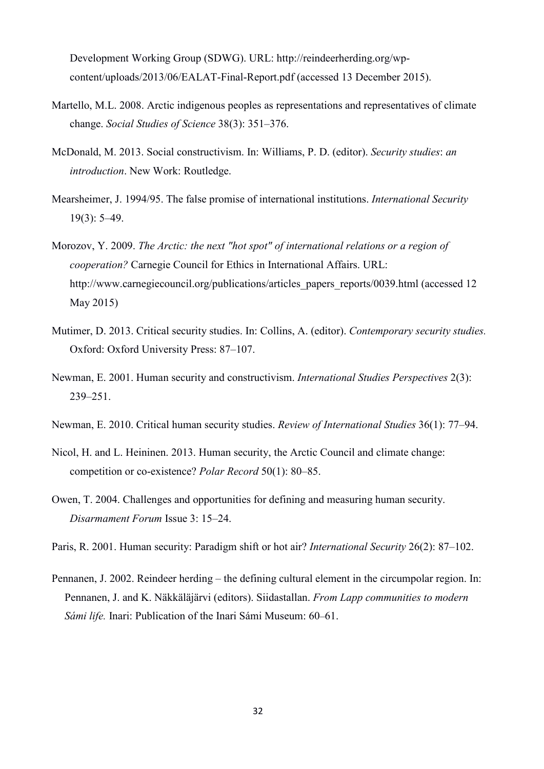Development Working Group (SDWG). URL: [http://reindeerherding.org/wp](http://reindeerherding.org/wp-content/uploads/2013/06/EALAT-Final-Report.pdf)[content/uploads/2013/06/EALAT-Final-Report.pdf](http://reindeerherding.org/wp-content/uploads/2013/06/EALAT-Final-Report.pdf) (accessed 13 December 2015).

- Martello, M.L. 2008. Arctic indigenous peoples as representations and representatives of climate change. *Social Studies of Science* 38(3): 351–376.
- McDonald, M. 2013. Social constructivism. In: Williams, P. D. (editor). *Security studies*: *an introduction*. New Work: Routledge.
- Mearsheimer, J. 1994/95. The false promise of international institutions. *International Security* 19(3): 5–49.
- Morozov, Y. 2009. *The Arctic: the next "hot spot" of international relations or a region of cooperation?* Carnegie Council for Ethics in International Affairs. URL: [http://www.carnegiecouncil.org/publications/articles\\_papers\\_reports/0039.html](http://www.carnegiecouncil.org/publications/articles_papers_reports/0039.html) (accessed 12 May 2015)
- Mutimer, D. 2013. Critical security studies. In: Collins, A. (editor). *Contemporary security studies.* Oxford: Oxford University Press: 87–107.
- Newman, E. 2001. Human security and constructivism. *International Studies Perspectives* 2(3): 239–251.
- Newman, E. 2010. Critical human security studies. *Review of International Studies* 36(1): 77–94.
- Nicol, H. and L. Heininen. 2013. Human security, the Arctic Council and climate change: competition or co-existence? *Polar Record* 50(1): 80–85.
- Owen, T. 2004. Challenges and opportunities for defining and measuring human security. *Disarmament Forum* Issue 3: 15–24.
- Paris, R. 2001. Human security: Paradigm shift or hot air? *International Security* 26(2): 87–102.
- Pennanen, J. 2002. Reindeer herding the defining cultural element in the circumpolar region. In: Pennanen, J. and K. Näkkäläjärvi (editors). Siidastallan. *From Lapp communities to modern Sámi life.* Inari: Publication of the Inari Sámi Museum: 60–61.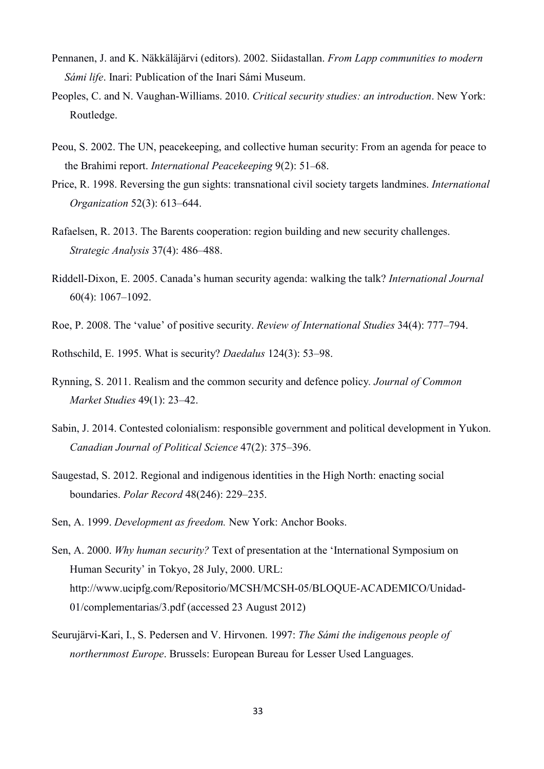- Pennanen, J. and K. Näkkäläjärvi (editors). 2002. Siidastallan. *From Lapp communities to modern Sámi life*. Inari: Publication of the Inari Sámi Museum.
- Peoples, C. and N. Vaughan-Williams. 2010. *Critical security studies: an introduction*. New York: Routledge.
- Peou, S. 2002. The UN, peacekeeping, and collective human security: From an agenda for peace to the Brahimi report. *International Peacekeeping* 9(2): 51–68.
- Price, R. 1998. Reversing the gun sights: transnational civil society targets landmines. *International Organization* 52(3): 613–644.
- Rafaelsen, R. 2013. The Barents cooperation: region building and new security challenges. *Strategic Analysis* 37(4): 486–488.
- Riddell-Dixon, E. 2005. Canada's human security agenda: walking the talk? *International Journal* 60(4): 1067–1092.
- Roe, P. 2008. The 'value' of positive security. *Review of International Studies* 34(4): 777–794.
- Rothschild, E. 1995. What is security? *Daedalus* 124(3): 53–98.
- Rynning, S. 2011. Realism and the common security and defence policy*. Journal of Common Market Studies* 49(1): 23–42.
- Sabin, J. 2014. Contested colonialism: responsible government and political development in Yukon. *Canadian Journal of Political Science* 47(2): 375–396.
- Saugestad, S. 2012. Regional and indigenous identities in the High North: enacting social boundaries. *Polar Record* 48(246): 229–235.
- Sen, A. 1999. *Development as freedom.* New York: Anchor Books.
- Sen, A. 2000. *Why human security?* Text of presentation at the 'International Symposium on Human Security' in Tokyo, 28 July, 2000. URL: [http://www.ucipfg.com/Repositorio/MCSH/MCSH-05/BLOQUE-ACADEMICO/Unidad-](http://www.ucipfg.com/Repositorio/MCSH/MCSH-05/BLOQUE-ACADEMICO/Unidad-01/complementarias/3.pdf)[01/complementarias/3.pdf](http://www.ucipfg.com/Repositorio/MCSH/MCSH-05/BLOQUE-ACADEMICO/Unidad-01/complementarias/3.pdf) (accessed 23 August 2012)
- Seurujärvi-Kari, I., S. Pedersen and V. Hirvonen. 1997: *The Sámi the indigenous people of northernmost Europe*. Brussels: European Bureau for Lesser Used Languages.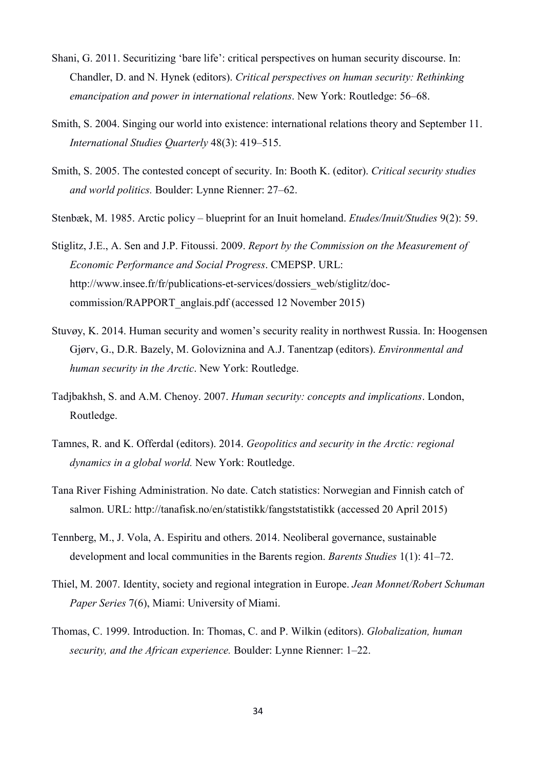- Shani, G. 2011. Securitizing 'bare life': critical perspectives on human security discourse. In: Chandler, D. and N. Hynek (editors). *Critical perspectives on human security: Rethinking emancipation and power in international relations*. New York: Routledge: 56–68.
- Smith, S. 2004. Singing our world into existence: international relations theory and September 11. *International Studies Quarterly* 48(3): 419–515.
- Smith, S. 2005. The contested concept of security. In: Booth K. (editor). *Critical security studies and world politics.* Boulder: Lynne Rienner: 27–62.

Stenbæk, M. 1985. Arctic policy – blueprint for an Inuit homeland. *Etudes/Inuit/Studies* 9(2): 59.

- Stiglitz, J.E., A. Sen and J.P. Fitoussi. 2009. *Report by the Commission on the Measurement of Economic Performance and Social Progress*. CMEPSP. URL: [http://www.insee.fr/fr/publications-et-services/dossiers\\_web/stiglitz/doc](http://www.insee.fr/fr/publications-et-services/dossiers_web/stiglitz/doc-commission/RAPPORT_anglais.pdf)[commission/RAPPORT\\_anglais.pdf](http://www.insee.fr/fr/publications-et-services/dossiers_web/stiglitz/doc-commission/RAPPORT_anglais.pdf) (accessed 12 November 2015)
- Stuvøy, K. 2014. Human security and women's security reality in northwest Russia. In: Hoogensen Gjørv, G., D.R. Bazely, M. Goloviznina and A.J. Tanentzap (editors). *Environmental and human security in the Arctic*. New York: Routledge.
- Tadjbakhsh, S. and A.M. Chenoy. 2007. *Human security: concepts and implications*. London, Routledge.
- Tamnes, R. and K. Offerdal (editors). 2014. *Geopolitics and security in the Arctic: regional dynamics in a global world.* New York: Routledge.
- Tana River Fishing Administration. No date. Catch statistics: Norwegian and Finnish catch of salmon. URL:<http://tanafisk.no/en/statistikk/fangststatistikk> (accessed 20 April 2015)
- Tennberg, M., J. Vola, A. Espiritu and others. 2014. Neoliberal governance, sustainable development and local communities in the Barents region. *Barents Studies* 1(1): 41–72.
- Thiel, M. 2007. Identity, society and regional integration in Europe. *Jean Monnet/Robert Schuman Paper Series* 7(6), Miami: University of Miami.
- Thomas, C. 1999. Introduction. In: Thomas, C. and P. Wilkin (editors). *Globalization, human security, and the African experience.* Boulder: Lynne Rienner: 1–22.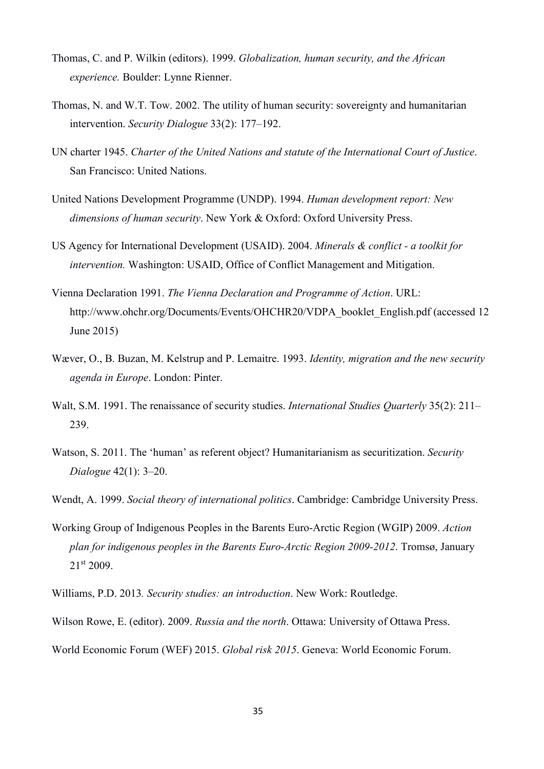- Thomas, C. and P. Wilkin (editors). 1999. *Globalization, human security, and the African experience.* Boulder: Lynne Rienner.
- Thomas, N. and W.T. Tow. 2002. The utility of human security: sovereignty and humanitarian intervention. *Security Dialogue* 33(2): 177–192.
- UN charter 1945. *Charter of the United Nations and statute of the International Court of Justice*. San Francisco: United Nations.
- United Nations Development Programme (UNDP). 1994. *Human development report: New dimensions of human security*. New York & Oxford: Oxford University Press.
- US Agency for International Development (USAID). 2004. *Minerals & conflict a toolkit for intervention.* Washington: USAID, Office of Conflict Management and Mitigation.
- Vienna Declaration 1991. *The Vienna Declaration and Programme of Action*. URL: http://www.ohchr.org/Documents/Events/OHCHR20/VDPA\_booklet\_English.pdf (accessed 12 June 2015)
- Wæver, O., B. Buzan, M. Kelstrup and P. Lemaitre. 1993. *Identity, migration and the new security agenda in Europe*. London: Pinter.
- Walt, S.M. 1991. The renaissance of security studies. *International Studies Quarterly* 35(2): 211– 239.
- Watson, S. 2011. The 'human' as referent object? Humanitarianism as securitization. *Security Dialogue* 42(1): 3–20.
- Wendt, A. 1999. *Social theory of international politics*. Cambridge: Cambridge University Press.
- Working Group of Indigenous Peoples in the Barents Euro-Arctic Region (WGIP) 2009. *Action plan for indigenous peoples in the Barents Euro-Arctic Region 2009-2012*. Tromsø, January 21st 2009.
- Williams, P.D. 2013*. Security studies: an introduction*. New Work: Routledge.
- Wilson Rowe, E. (editor). 2009. *Russia and the north*. Ottawa: University of Ottawa Press.
- World Economic Forum (WEF) 2015. *Global risk 2015*. Geneva: World Economic Forum.